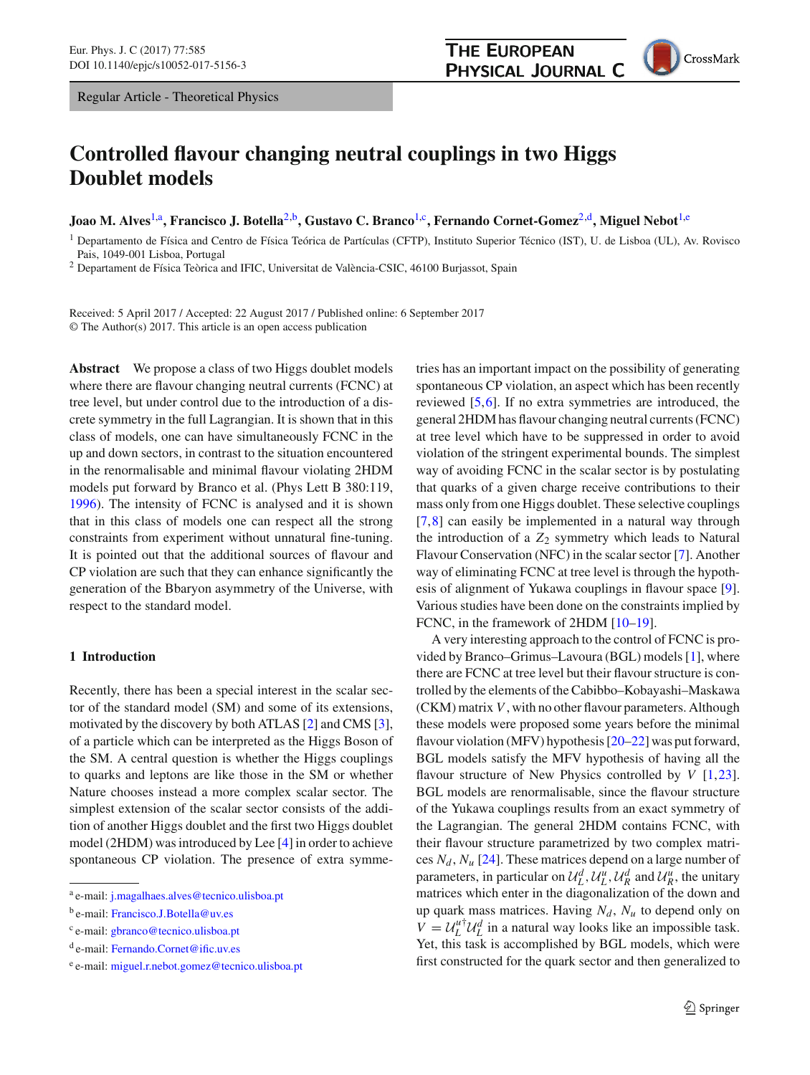

# **Controlled flavour changing neutral couplings in two Higgs Doublet models**

**Joao M. Alves**[1,](#page-0-0)a**, Francisco J. Botella**[2,](#page-0-0)b**, Gustavo C. Branco**[1,](#page-0-0)c**, Fernando Cornet-Gomez**[2,](#page-0-0)d**, Miguel Nebot**[1,](#page-0-0)e

<span id="page-0-0"></span><sup>1</sup> Departamento de Física and Centro de Física Teórica de Partículas (CFTP), Instituto Superior Técnico (IST), U. de Lisboa (UL), Av. Rovisco Pais, 1049-001 Lisboa, Portugal

<sup>2</sup> Departament de Física Teòrica and IFIC, Universitat de València-CSIC, 46100 Burjassot, Spain

Received: 5 April 2017 / Accepted: 22 August 2017 / Published online: 6 September 2017 © The Author(s) 2017. This article is an open access publication

**Abstract** We propose a class of two Higgs doublet models where there are flavour changing neutral currents (FCNC) at tree level, but under control due to the introduction of a discrete symmetry in the full Lagrangian. It is shown that in this class of models, one can have simultaneously FCNC in the up and down sectors, in contrast to the situation encountered in the renormalisable and minimal flavour violating 2HDM models put forward by Branco et al. (Phys Lett B 380:119, [1996\)](#page-16-0). The intensity of FCNC is analysed and it is shown that in this class of models one can respect all the strong constraints from experiment without unnatural fine-tuning. It is pointed out that the additional sources of flavour and CP violation are such that they can enhance significantly the generation of the Bbaryon asymmetry of the Universe, with respect to the standard model.

# **1 Introduction**

Recently, there has been a special interest in the scalar sector of the standard model (SM) and some of its extensions, motivated by the discovery by both ATLAS [\[2\]](#page-16-1) and CMS [\[3](#page-16-2)], of a particle which can be interpreted as the Higgs Boson of the SM. A central question is whether the Higgs couplings to quarks and leptons are like those in the SM or whether Nature chooses instead a more complex scalar sector. The simplest extension of the scalar sector consists of the addition of another Higgs doublet and the first two Higgs doublet model (2HDM) was introduced by Lee [\[4](#page-16-3)] in order to achieve spontaneous CP violation. The presence of extra symmetries has an important impact on the possibility of generating spontaneous CP violation, an aspect which has been recently reviewed [\[5](#page-16-4)[,6](#page-16-5)]. If no extra symmetries are introduced, the general 2HDM has flavour changing neutral currents (FCNC) at tree level which have to be suppressed in order to avoid violation of the stringent experimental bounds. The simplest way of avoiding FCNC in the scalar sector is by postulating that quarks of a given charge receive contributions to their mass only from one Higgs doublet. These selective couplings [\[7](#page-16-6),[8\]](#page-16-7) can easily be implemented in a natural way through the introduction of a  $Z_2$  symmetry which leads to Natural Flavour Conservation (NFC) in the scalar sector [\[7\]](#page-16-6). Another way of eliminating FCNC at tree level is through the hypothesis of alignment of Yukawa couplings in flavour space [\[9](#page-16-8)]. Various studies have been done on the constraints implied by FCNC, in the framework of 2HDM [\[10](#page-16-9)[–19\]](#page-17-0).

A very interesting approach to the control of FCNC is provided by Branco–Grimus–Lavoura (BGL) models [\[1](#page-16-0)], where there are FCNC at tree level but their flavour structure is controlled by the elements of the Cabibbo–Kobayashi–Maskawa (CKM) matrix *V*, with no other flavour parameters. Although these models were proposed some years before the minimal flavour violation (MFV) hypothesis [\[20](#page-17-1)[–22](#page-17-2)] was put forward, BGL models satisfy the MFV hypothesis of having all the flavour structure of New Physics controlled by *V* [\[1](#page-16-0)[,23](#page-17-3)]. BGL models are renormalisable, since the flavour structure of the Yukawa couplings results from an exact symmetry of the Lagrangian. The general 2HDM contains FCNC, with their flavour structure parametrized by two complex matrices  $N_d$ ,  $N_u$  [\[24\]](#page-17-4). These matrices depend on a large number of parameters, in particular on  $\mathcal{U}_L^d$ ,  $\mathcal{U}_L^u$ ,  $\mathcal{U}_R^d$  and  $\mathcal{U}_R^u$ , the unitary matrices which enter in the diagonalization of the down and up quark mass matrices. Having  $N_d$ ,  $N_u$  to depend only on  $V = U_L^{u\dagger} U_L^d$  in a natural way looks like an impossible task. Yet, this task is accomplished by BGL models, which were first constructed for the quark sector and then generalized to

<sup>a</sup> e-mail: [j.magalhaes.alves@tecnico.ulisboa.pt](mailto:j.magalhaes.alves@tecnico.ulisboa.pt)

<sup>b</sup> e-mail: [Francisco.J.Botella@uv.es](mailto:Francisco.J.Botella@uv.es)

<sup>c</sup> e-mail: [gbranco@tecnico.ulisboa.pt](mailto:gbranco@tecnico.ulisboa.pt)

<sup>d</sup> e-mail: [Fernando.Cornet@ific.uv.es](mailto:Fernando.Cornet@ific.uv.es)

<sup>e</sup> e-mail: [miguel.r.nebot.gomez@tecnico.ulisboa.pt](mailto:miguel.r.nebot.gomez@tecnico.ulisboa.pt)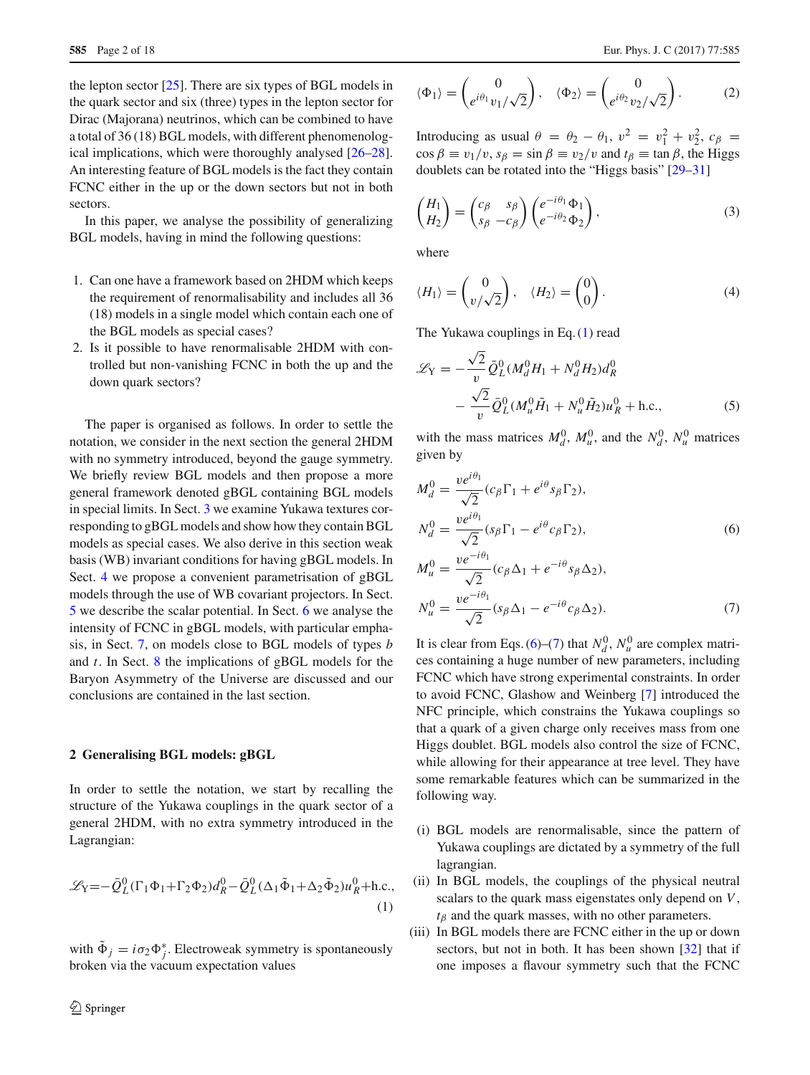the lepton sector [\[25](#page-17-5)]. There are six types of BGL models in the quark sector and six (three) types in the lepton sector for Dirac (Majorana) neutrinos, which can be combined to have a total of 36 (18) BGL models, with different phenomenological implications, which were thoroughly analysed [\[26](#page-17-6)[–28](#page-17-7)]. An interesting feature of BGL models is the fact they contain FCNC either in the up or the down sectors but not in both sectors.

In this paper, we analyse the possibility of generalizing BGL models, having in mind the following questions:

- 1. Can one have a framework based on 2HDM which keeps the requirement of renormalisability and includes all 36 (18) models in a single model which contain each one of the BGL models as special cases?
- 2. Is it possible to have renormalisable 2HDM with controlled but non-vanishing FCNC in both the up and the down quark sectors?

The paper is organised as follows. In order to settle the notation, we consider in the next section the general 2HDM with no symmetry introduced, beyond the gauge symmetry. We briefly review BGL models and then propose a more general framework denoted gBGL containing BGL models in special limits. In Sect. [3](#page-2-0) we examine Yukawa textures corresponding to gBGL models and show how they contain BGL models as special cases. We also derive in this section weak basis (WB) invariant conditions for having gBGL models. In Sect. [4](#page-3-0) we propose a convenient parametrisation of gBGL models through the use of WB covariant projectors. In Sect. [5](#page-5-0) we describe the scalar potential. In Sect. [6](#page-7-0) we analyse the intensity of FCNC in gBGL models, with particular emphasis, in Sect. [7,](#page-8-0) on models close to BGL models of types *b* and *t*. In Sect. [8](#page-9-0) the implications of gBGL models for the Baryon Asymmetry of the Universe are discussed and our conclusions are contained in the last section.

# **2 Generalising BGL models: gBGL**

In order to settle the notation, we start by recalling the structure of the Yukawa couplings in the quark sector of a general 2HDM, with no extra symmetry introduced in the Lagrangian:

<span id="page-1-0"></span>
$$
\mathcal{L}_{\mathbf{Y}} = -\bar{Q}_L^0 (\Gamma_1 \Phi_1 + \Gamma_2 \Phi_2) d_R^0 - \bar{Q}_L^0 (\Delta_1 \tilde{\Phi}_1 + \Delta_2 \tilde{\Phi}_2) u_R^0 + \text{h.c.},
$$
\n(1)

with  $\Phi_j = i\sigma_2 \Phi_j^*$ . Electroweak symmetry is spontaneously broken via the vacuum expectation values

$$
\langle \Phi_1 \rangle = \begin{pmatrix} 0 \\ e^{i\theta_1} v_1 / \sqrt{2} \end{pmatrix}, \quad \langle \Phi_2 \rangle = \begin{pmatrix} 0 \\ e^{i\theta_2} v_2 / \sqrt{2} \end{pmatrix}.
$$
 (2)

Introducing as usual  $\theta = \theta_2 - \theta_1$ ,  $v^2 = v_1^2 + v_2^2$ ,  $c_\beta =$  $\cos \beta \equiv v_1/v$ ,  $s_\beta = \sin \beta \equiv v_2/v$  and  $t_\beta \equiv \tan \beta$ , the Higgs doublets can be rotated into the "Higgs basis" [\[29](#page-17-8)[–31](#page-17-9)]

<span id="page-1-2"></span>
$$
\begin{pmatrix} H_1 \\ H_2 \end{pmatrix} = \begin{pmatrix} c_\beta & s_\beta \\ s_\beta & -c_\beta \end{pmatrix} \begin{pmatrix} e^{-i\theta_1} \Phi_1 \\ e^{-i\theta_2} \Phi_2 \end{pmatrix},
$$
\n(3)

where

$$
\langle H_1 \rangle = \begin{pmatrix} 0 \\ v/\sqrt{2} \end{pmatrix}, \quad \langle H_2 \rangle = \begin{pmatrix} 0 \\ 0 \end{pmatrix}.
$$
 (4)

The Yukawa couplings in Eq. [\(1\)](#page-1-0) read

$$
\mathcal{L}_{Y} = -\frac{\sqrt{2}}{v} \bar{Q}_{L}^{0} (M_{d}^{0} H_{1} + N_{d}^{0} H_{2}) d_{R}^{0}
$$

$$
-\frac{\sqrt{2}}{v} \bar{Q}_{L}^{0} (M_{u}^{0} \tilde{H}_{1} + N_{u}^{0} \tilde{H}_{2}) u_{R}^{0} + \text{h.c.}, \qquad (5)
$$

with the mass matrices  $M_d^0$ ,  $M_u^0$ , and the  $N_d^0$ ,  $N_u^0$  matrices given by

<span id="page-1-1"></span>
$$
M_d^0 = \frac{ve^{i\theta_1}}{\sqrt{2}} (c_{\beta} \Gamma_1 + e^{i\theta} s_{\beta} \Gamma_2),
$$
  
\n
$$
N_d^0 = \frac{ve^{i\theta_1}}{\sqrt{2}} (s_{\beta} \Gamma_1 - e^{i\theta} c_{\beta} \Gamma_2),
$$
  
\n
$$
M_u^0 = \frac{ve^{-i\theta_1}}{\sqrt{2}} (c_{\beta} \Delta_1 + e^{-i\theta} s_{\beta} \Delta_2),
$$
  
\n
$$
N_u^0 = \frac{ve^{-i\theta_1}}{\sqrt{2}} (s_{\beta} \Delta_1 - e^{-i\theta} c_{\beta} \Delta_2).
$$
\n(7)

It is clear from Eqs. [\(6\)](#page-1-1)–[\(7\)](#page-1-1) that  $N_d^0$ ,  $N_u^0$  are complex matrices containing a huge number of new parameters, including FCNC which have strong experimental constraints. In order to avoid FCNC, Glashow and Weinberg [\[7\]](#page-16-6) introduced the NFC principle, which constrains the Yukawa couplings so that a quark of a given charge only receives mass from one Higgs doublet. BGL models also control the size of FCNC, while allowing for their appearance at tree level. They have some remarkable features which can be summarized in the following way.

- (i) BGL models are renormalisable, since the pattern of Yukawa couplings are dictated by a symmetry of the full lagrangian.
- (ii) In BGL models, the couplings of the physical neutral scalars to the quark mass eigenstates only depend on *V*,  $t<sub>\beta</sub>$  and the quark masses, with no other parameters.
- (iii) In BGL models there are FCNC either in the up or down sectors, but not in both. It has been shown [\[32\]](#page-17-10) that if one imposes a flavour symmetry such that the FCNC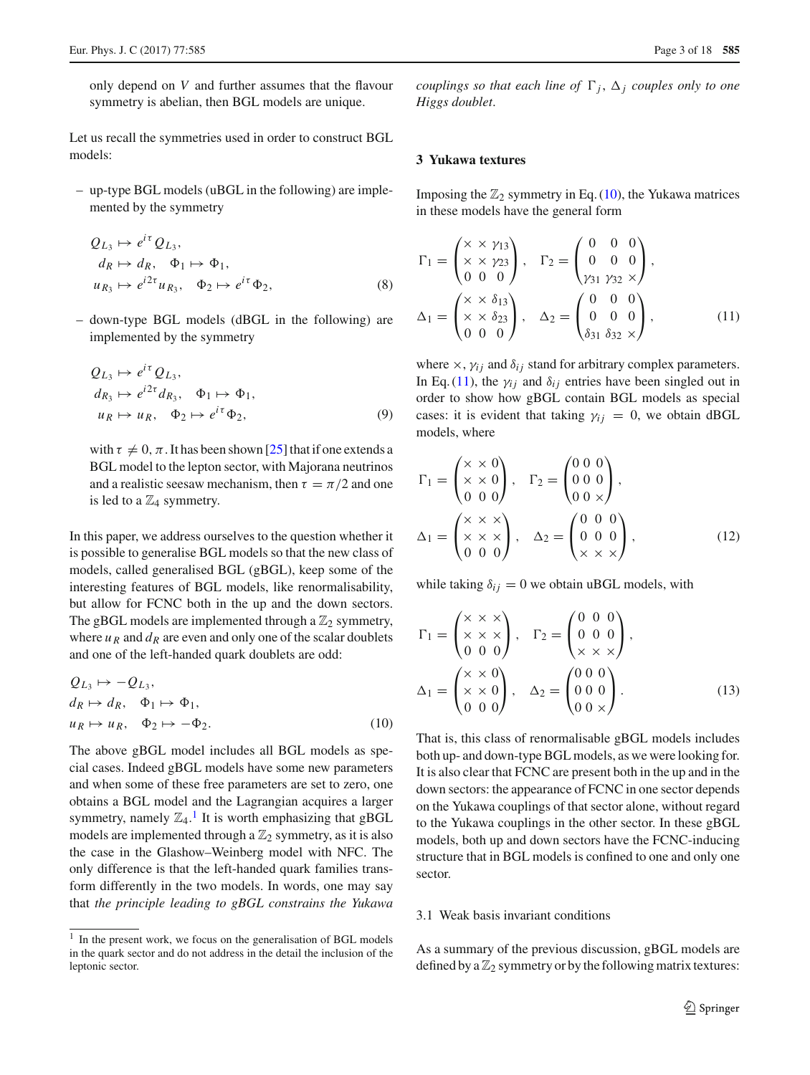only depend on *V* and further assumes that the flavour symmetry is abelian, then BGL models are unique.

Let us recall the symmetries used in order to construct BGL models:

– up-type BGL models (uBGL in the following) are implemented by the symmetry

$$
Q_{L_3} \mapsto e^{i\tau} Q_{L_3},
$$
  
\n
$$
d_R \mapsto d_R, \quad \Phi_1 \mapsto \Phi_1,
$$
  
\n
$$
u_{R_3} \mapsto e^{i2\tau} u_{R_3}, \quad \Phi_2 \mapsto e^{i\tau} \Phi_2,
$$
\n(8)

– down-type BGL models (dBGL in the following) are implemented by the symmetry

$$
Q_{L_3} \mapsto e^{i\tau} Q_{L_3},
$$
  
\n
$$
d_{R_3} \mapsto e^{i2\tau} d_{R_3}, \quad \Phi_1 \mapsto \Phi_1,
$$
  
\n
$$
u_R \mapsto u_R, \quad \Phi_2 \mapsto e^{i\tau} \Phi_2,
$$
\n(9)

with  $\tau \neq 0$ ,  $\pi$ . It has been shown [\[25](#page-17-5)] that if one extends a BGL model to the lepton sector, with Majorana neutrinos and a realistic seesaw mechanism, then  $\tau = \pi/2$  and one is led to a  $\mathbb{Z}_4$  symmetry.

In this paper, we address ourselves to the question whether it is possible to generalise BGL models so that the new class of models, called generalised BGL (gBGL), keep some of the interesting features of BGL models, like renormalisability, but allow for FCNC both in the up and the down sectors. The gBGL models are implemented through a  $\mathbb{Z}_2$  symmetry, where  $u_R$  and  $d_R$  are even and only one of the scalar doublets and one of the left-handed quark doublets are odd:

<span id="page-2-2"></span>
$$
Q_{L_3} \mapsto -Q_{L_3},
$$
  
\n
$$
d_R \mapsto d_R, \quad \Phi_1 \mapsto \Phi_1,
$$
  
\n
$$
u_R \mapsto u_R, \quad \Phi_2 \mapsto -\Phi_2.
$$
\n(10)

The above gBGL model includes all BGL models as special cases. Indeed gBGL models have some new parameters and when some of these free parameters are set to zero, one obtains a BGL model and the Lagrangian acquires a larger symmetry, namely  $\mathbb{Z}_4$ .<sup>[1](#page-2-1)</sup> It is worth emphasizing that gBGL models are implemented through a  $\mathbb{Z}_2$  symmetry, as it is also the case in the Glashow–Weinberg model with NFC. The only difference is that the left-handed quark families transform differently in the two models. In words, one may say that *the principle leading to gBGL constrains the Yukawa*

*couplings so that each line of*  $\Gamma_j$ ,  $\Delta_j$  *couples only to one Higgs doublet*.

# <span id="page-2-0"></span>**3 Yukawa textures**

Imposing the  $\mathbb{Z}_2$  symmetry in Eq. [\(10\)](#page-2-2), the Yukawa matrices in these models have the general form

<span id="page-2-3"></span>
$$
\Gamma_1 = \begin{pmatrix} \times & \times & \gamma_{13} \\ \times & \times & \gamma_{23} \\ 0 & 0 & 0 \end{pmatrix}, \quad \Gamma_2 = \begin{pmatrix} 0 & 0 & 0 \\ 0 & 0 & 0 \\ \gamma_{31} & \gamma_{32} & \times \end{pmatrix}, \n\Delta_1 = \begin{pmatrix} \times & \times & \delta_{13} \\ \times & \times & \delta_{23} \\ 0 & 0 & 0 \end{pmatrix}, \quad \Delta_2 = \begin{pmatrix} 0 & 0 & 0 \\ 0 & 0 & 0 \\ \delta_{31} & \delta_{32} & \times \end{pmatrix}, \quad (11)
$$

where  $\times$ ,  $\gamma_{ij}$  and  $\delta_{ij}$  stand for arbitrary complex parameters. In Eq. [\(11\)](#page-2-3), the  $\gamma_{ij}$  and  $\delta_{ij}$  entries have been singled out in order to show how gBGL contain BGL models as special cases: it is evident that taking  $\gamma_{ij} = 0$ , we obtain dBGL models, where

$$
\Gamma_1 = \begin{pmatrix} \times \times 0 \\ \times \times 0 \\ 0 & 0 \end{pmatrix}, \quad \Gamma_2 = \begin{pmatrix} 0 & 0 & 0 \\ 0 & 0 & 0 \\ 0 & 0 & \times \end{pmatrix},
$$

$$
\Delta_1 = \begin{pmatrix} \times \times \times \\ \times \times \times \\ 0 & 0 & 0 \end{pmatrix}, \quad \Delta_2 = \begin{pmatrix} 0 & 0 & 0 \\ 0 & 0 & 0 \\ \times \times \times \times \end{pmatrix}, \quad (12)
$$

while taking  $\delta_{ij} = 0$  we obtain uBGL models, with

$$
\Gamma_1 = \begin{pmatrix} \times & \times & \times \\ \times & \times & \times \\ 0 & 0 & 0 \end{pmatrix}, \quad \Gamma_2 = \begin{pmatrix} 0 & 0 & 0 \\ 0 & 0 & 0 \\ \times & \times & \times \end{pmatrix},
$$
\n
$$
\Delta_1 = \begin{pmatrix} \times & \times & 0 \\ \times & \times & 0 \\ 0 & 0 & 0 \end{pmatrix}, \quad \Delta_2 = \begin{pmatrix} 0 & 0 & 0 \\ 0 & 0 & 0 \\ 0 & 0 & \times \end{pmatrix}.
$$
\n
$$
(13)
$$

That is, this class of renormalisable gBGL models includes both up- and down-type BGL models, as we were looking for. It is also clear that FCNC are present both in the up and in the down sectors: the appearance of FCNC in one sector depends on the Yukawa couplings of that sector alone, without regard to the Yukawa couplings in the other sector. In these gBGL models, both up and down sectors have the FCNC-inducing structure that in BGL models is confined to one and only one sector.

# 3.1 Weak basis invariant conditions

As a summary of the previous discussion, gBGL models are defined by a  $\mathbb{Z}_2$  symmetry or by the following matrix textures:

<span id="page-2-1"></span><sup>&</sup>lt;sup>1</sup> In the present work, we focus on the generalisation of BGL models in the quark sector and do not address in the detail the inclusion of the leptonic sector.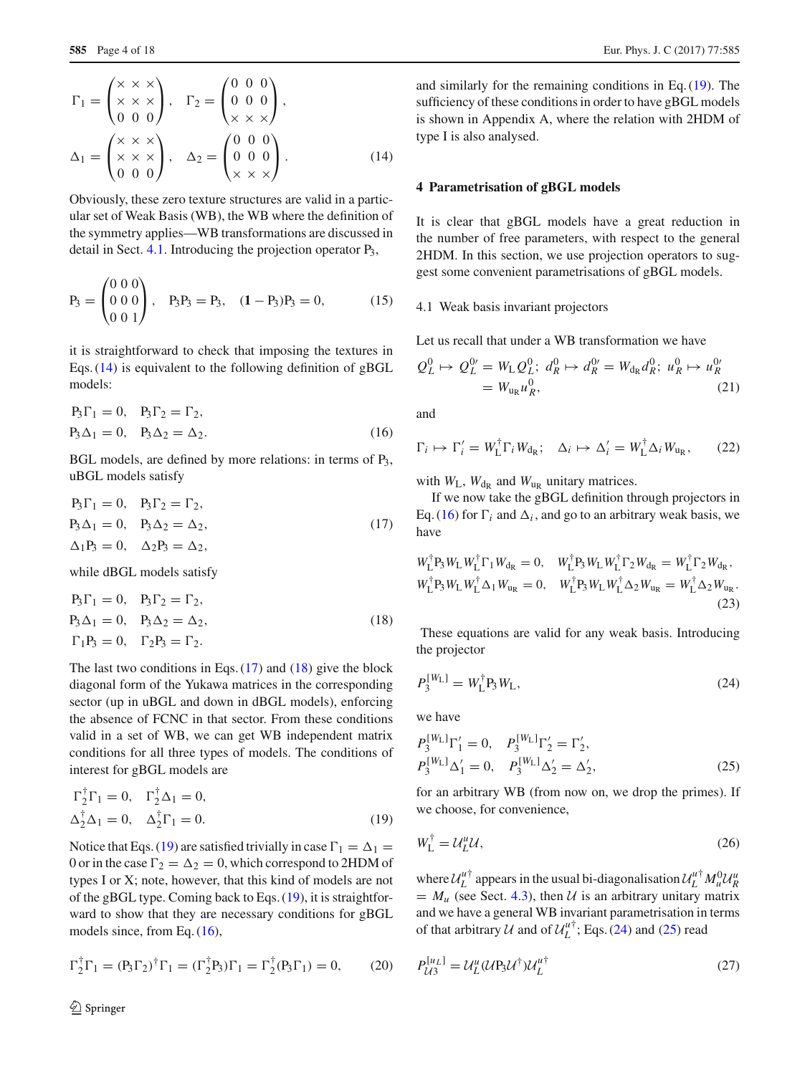<span id="page-3-2"></span>
$$
\Gamma_1 = \begin{pmatrix} \times & \times & \times \\ \times & \times & \times \\ 0 & 0 & 0 \end{pmatrix}, \quad \Gamma_2 = \begin{pmatrix} 0 & 0 & 0 \\ 0 & 0 & 0 \\ \times & \times & \times \end{pmatrix},
$$
\n
$$
\Delta_1 = \begin{pmatrix} \times & \times & \times \\ \times & \times & \times \\ 0 & 0 & 0 \end{pmatrix}, \quad \Delta_2 = \begin{pmatrix} 0 & 0 & 0 \\ 0 & 0 & 0 \\ \times & \times & \times \end{pmatrix}.
$$
\n
$$
(14)
$$

Obviously, these zero texture structures are valid in a particular set of Weak Basis (WB), the WB where the definition of the symmetry applies—WB transformations are discussed in detail in Sect. [4.1.](#page-3-1) Introducing the projection operator P3,

$$
P_3 = \begin{pmatrix} 0 & 0 & 0 \\ 0 & 0 & 0 \\ 0 & 0 & 1 \end{pmatrix}, \quad P_3P_3 = P_3, \quad (1 - P_3)P_3 = 0,\tag{15}
$$

it is straightforward to check that imposing the textures in Eqs.  $(14)$  is equivalent to the following definition of gBGL models:

<span id="page-3-6"></span>
$$
P_3\Gamma_1 = 0, \quad P_3\Gamma_2 = \Gamma_2,
$$
  

$$
P_3\Delta_1 = 0, \quad P_3\Delta_2 = \Delta_2.
$$
 (16)

BGL models, are defined by more relations: in terms of P<sub>3</sub>, uBGL models satisfy

<span id="page-3-3"></span>
$$
P_3\Gamma_1 = 0, \quad P_3\Gamma_2 = \Gamma_2,
$$
  
\n
$$
P_3\Delta_1 = 0, \quad P_3\Delta_2 = \Delta_2,
$$
  
\n
$$
\Delta_1P_3 = 0, \quad \Delta_2P_3 = \Delta_2,
$$
\n(17)

while dBGL models satisfy

<span id="page-3-4"></span>
$$
P_3\Gamma_1 = 0
$$
,  $P_3\Gamma_2 = \Gamma_2$ ,  
\n $P_3\Delta_1 = 0$ ,  $P_3\Delta_2 = \Delta_2$ ,  
\n $\Gamma_1P_3 = 0$ ,  $\Gamma_2P_3 = \Gamma_2$ . (18)

The last two conditions in Eqs.  $(17)$  and  $(18)$  give the block diagonal form of the Yukawa matrices in the corresponding sector (up in uBGL and down in dBGL models), enforcing the absence of FCNC in that sector. From these conditions valid in a set of WB, we can get WB independent matrix conditions for all three types of models. The conditions of interest for gBGL models are

<span id="page-3-5"></span>
$$
\Gamma_2^{\dagger} \Gamma_1 = 0, \quad \Gamma_2^{\dagger} \Delta_1 = 0, \n\Delta_2^{\dagger} \Delta_1 = 0, \quad \Delta_2^{\dagger} \Gamma_1 = 0.
$$
\n(19)

Notice that Eqs. [\(19\)](#page-3-5) are satisfied trivially in case  $\Gamma_1 = \Delta_1 =$ 0 or in the case  $\Gamma_2 = \Delta_2 = 0$ , which correspond to 2HDM of types I or X; note, however, that this kind of models are not of the gBGL type. Coming back to Eqs. [\(19\)](#page-3-5), it is straightforward to show that they are necessary conditions for gBGL models since, from Eq. [\(16\)](#page-3-6),

$$
\Gamma_2^{\dagger} \Gamma_1 = (P_3 \Gamma_2)^{\dagger} \Gamma_1 = (\Gamma_2^{\dagger} P_3) \Gamma_1 = \Gamma_2^{\dagger} (P_3 \Gamma_1) = 0, \quad (20)
$$

and similarly for the remaining conditions in Eq. [\(19\)](#page-3-5). The sufficiency of these conditions in order to have gBGL models is shown in Appendix A, where the relation with 2HDM of type I is also analysed.

# <span id="page-3-0"></span>**4 Parametrisation of gBGL models**

It is clear that gBGL models have a great reduction in the number of free parameters, with respect to the general 2HDM. In this section, we use projection operators to suggest some convenient parametrisations of gBGL models.

#### <span id="page-3-1"></span>4.1 Weak basis invariant projectors

Let us recall that under a WB transformation we have

$$
Q_L^0 \mapsto Q_L^{0'} = W_L Q_L^0; \ d_R^0 \mapsto d_R^{0'} = W_{d_R} d_R^0; \ u_R^0 \mapsto u_R^{0'} = W_{u_R} u_R^0,
$$
 (21)

and

 $\Gamma_i \mapsto \Gamma'_i = W_L^{\dagger} \Gamma_i W_{d_R}; \quad \Delta_i \mapsto \Delta'_i = W_L^{\dagger} \Delta_i W_{u_R},$  (22)

with  $W_L$ ,  $W_{\text{dR}}$  and  $W_{\text{uR}}$  unitary matrices.

If we now take the gBGL definition through projectors in Eq. [\(16\)](#page-3-6) for  $\Gamma_i$  and  $\Delta_i$ , and go to an arbitrary weak basis, we have

$$
W_{\rm L}^{\dagger} P_3 W_{\rm L} W_{\rm L}^{\dagger} \Gamma_1 W_{\rm dR} = 0, \quad W_{\rm L}^{\dagger} P_3 W_{\rm L} W_{\rm L}^{\dagger} \Gamma_2 W_{\rm dR} = W_{\rm L}^{\dagger} \Gamma_2 W_{\rm dR},
$$
  
\n
$$
W_{\rm L}^{\dagger} P_3 W_{\rm L} W_{\rm L}^{\dagger} \Delta_1 W_{\rm uR} = 0, \quad W_{\rm L}^{\dagger} P_3 W_{\rm L} W_{\rm L}^{\dagger} \Delta_2 W_{\rm uR} = W_{\rm L}^{\dagger} \Delta_2 W_{\rm uR}.
$$
\n(23)

<span id="page-3-7"></span>These equations are valid for any weak basis. Introducing the projector

$$
P_3^{[W_L]} = W_L^{\dagger} P_3 W_L, \tag{24}
$$

we have

<span id="page-3-8"></span>
$$
P_3^{[W_L]} \Gamma_1' = 0, \quad P_3^{[W_L]} \Gamma_2' = \Gamma_2',
$$
  
\n
$$
P_3^{[W_L]} \Delta_1' = 0, \quad P_3^{[W_L]} \Delta_2' = \Delta_2',
$$
\n(25)

<span id="page-3-9"></span>for an arbitrary WB (from now on, we drop the primes). If we choose, for convenience,

$$
W_{\mathcal{L}}^{\dagger} = \mathcal{U}_{\mathcal{L}}^{\mu} \mathcal{U},\tag{26}
$$

where  $U_L^{u\dagger}$  appears in the usual bi-diagonalisation  $U_L^{u\dagger} M_u^0 U_R^u$  $= M_u$  (see Sect. [4.3\)](#page-4-0), then *U* is an arbitrary unitary matrix and we have a general WB invariant parametrisation in terms of that arbitrary *U* and of  $U_L^{\mu^+}$ ; Eqs. [\(24\)](#page-3-7) and [\(25\)](#page-3-8) read

$$
P_{U3}^{[u_L]} = \mathcal{U}_L^u (\mathcal{U} P_3 \mathcal{U}^\dagger) \mathcal{U}_L^{u\dagger} \tag{27}
$$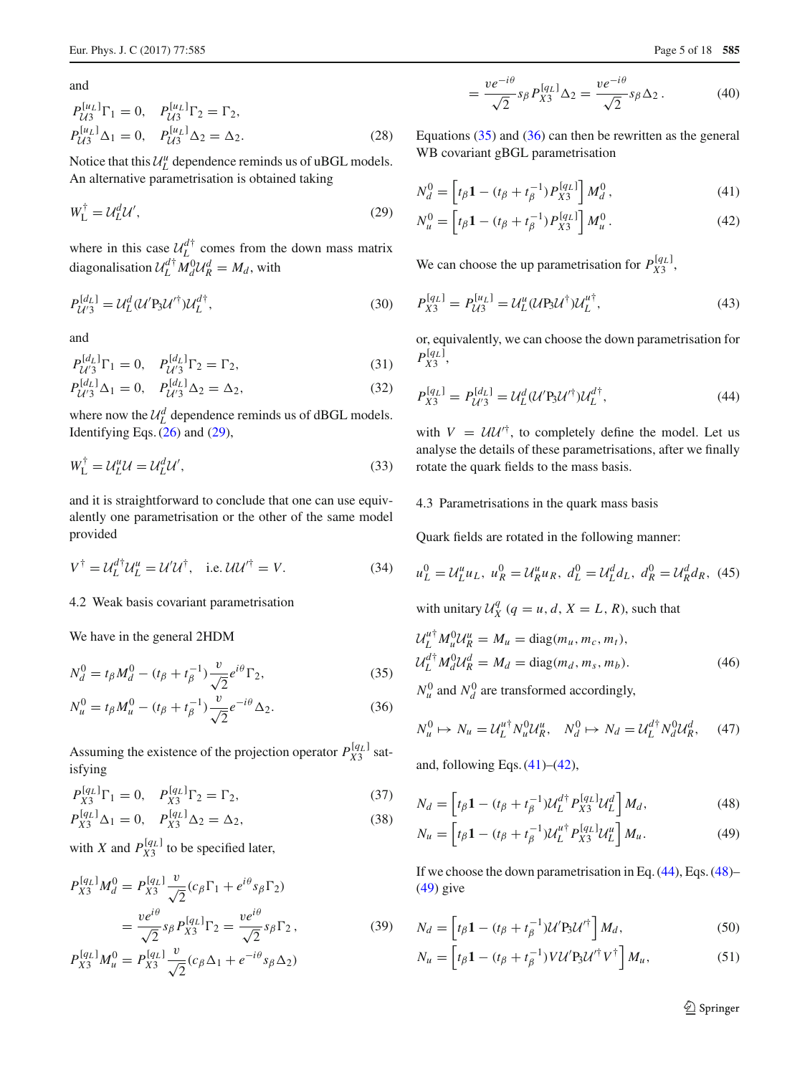and

$$
P_{U3}^{[u_L]}\Gamma_1 = 0, \quad P_{U3}^{[u_L]}\Gamma_2 = \Gamma_2, P_{U3}^{[u_L]}\Delta_1 = 0, \quad P_{U3}^{[u_L]}\Delta_2 = \Delta_2.
$$
 (28)

Notice that this  $\mathcal{U}_L^u$  dependence reminds us of uBGL models. An alternative parametrisation is obtained taking

$$
W_{\mathcal{L}}^{\dagger} = \mathcal{U}_{\mathcal{L}}^d \mathcal{U}',\tag{29}
$$

where in this case  $\mathcal{U}_L^{d\dagger}$  comes from the down mass matrix diagonalisation  $\mathcal{U}_L^{d\dagger} M_d^0 \mathcal{U}_R^d = M_d$ , with

$$
P_{\mathcal{U}'3}^{[d_L]} = \mathcal{U}_L^d (\mathcal{U}' P_3 \mathcal{U}'^{\dagger}) \mathcal{U}_L^{d\dagger},\tag{30}
$$

and

$$
P_{\mathcal{U}'3}^{[d_L]}\Gamma_1 = 0, \quad P_{\mathcal{U}'3}^{[d_L]}\Gamma_2 = \Gamma_2,\tag{31}
$$

$$
P_{\mathcal{U}'3}^{[d_L]}\Delta_1 = 0, \quad P_{\mathcal{U}'3}^{[d_L]}\Delta_2 = \Delta_2,\tag{32}
$$

where now the  $\mathcal{U}_L^d$  dependence reminds us of dBGL models. Identifying Eqs. [\(26\)](#page-3-9) and [\(29\)](#page-4-1),

$$
W_{\mathcal{L}}^{\dagger} = \mathcal{U}_{\mathcal{L}}^u \mathcal{U} = \mathcal{U}_{\mathcal{L}}^d \mathcal{U}',\tag{33}
$$

and it is straightforward to conclude that one can use equivalently one parametrisation or the other of the same model provided

$$
V^{\dagger} = \mathcal{U}_L^{d\dagger} \mathcal{U}_L^u = \mathcal{U}' \mathcal{U}^{\dagger}, \quad \text{i.e. } \mathcal{U} \mathcal{U}'^{\dagger} = V. \tag{34}
$$

# 4.2 Weak basis covariant parametrisation

We have in the general 2HDM

$$
N_d^0 = t_\beta M_d^0 - (t_\beta + t_\beta^{-1}) \frac{v}{\sqrt{2}} e^{i\theta} \Gamma_2,
$$
\n(35)

$$
N_u^0 = t_\beta M_u^0 - (t_\beta + t_\beta^{-1}) \frac{v}{\sqrt{2}} e^{-i\theta} \Delta_2.
$$
 (36)

Assuming the existence of the projection operator  $P_{X3}^{[q_L]}$  satisfying

$$
P_{X3}^{[q_L]} \Gamma_1 = 0, \quad P_{X3}^{[q_L]} \Gamma_2 = \Gamma_2,\tag{37}
$$

$$
P_{X3}^{[q_L]} \Delta_1 = 0, \quad P_{X3}^{[q_L]} \Delta_2 = \Delta_2,\tag{38}
$$

with *X* and  $P_{X3}^{[q_L]}$  to be specified later,

$$
P_{X3}^{[q_L]}M_d^0 = P_{X3}^{[q_L]} \frac{v}{\sqrt{2}} (c_\beta \Gamma_1 + e^{i\theta} s_\beta \Gamma_2)
$$
  
= 
$$
\frac{ve^{i\theta}}{\sqrt{2}} s_\beta P_{X3}^{[q_L]} \Gamma_2 = \frac{ve^{i\theta}}{\sqrt{2}} s_\beta \Gamma_2,
$$
  

$$
P_{X3}^{[q_L]}M_u^0 = P_{X3}^{[q_L]} \frac{v}{\sqrt{2}} (c_\beta \Delta_1 + e^{-i\theta} s_\beta \Delta_2)
$$
 (39)

<span id="page-4-5"></span><span id="page-4-4"></span>
$$
= \frac{ve^{-i\theta}}{\sqrt{2}} s_{\beta} P_{X3}^{[q_L]} \Delta_2 = \frac{ve^{-i\theta}}{\sqrt{2}} s_{\beta} \Delta_2.
$$
 (40)

Equations  $(35)$  and  $(36)$  can then be rewritten as the general WB covariant gBGL parametrisation

<span id="page-4-1"></span>
$$
N_d^0 = \left[ t_\beta \mathbf{1} - (t_\beta + t_\beta^{-1}) P_{X3}^{[q_L]} \right] M_d^0, \tag{41}
$$

$$
N_u^0 = \left[ t_\beta \mathbf{1} - (t_\beta + t_\beta^{-1}) P_{X3}^{[q_L]} \right] M_u^0. \tag{42}
$$

<span id="page-4-9"></span>We can choose the up parametrisation for  $P_{X3}^{[q_L]}$ ,

$$
P_{X3}^{[q_L]} = P_{U3}^{[u_L]} = U_L^u (U P_3 U^{\dagger}) U_L^{u^{\dagger}}, \tag{43}
$$

<span id="page-4-6"></span>or, equivalently, we can choose the down parametrisation for  $P_{X3}^{[q_L]}$ 

$$
P_{X3}^{[q_L]} = P_{U'3}^{[d_L]} = \mathcal{U}_L^d (\mathcal{U}' P_3 \mathcal{U}'^{\dagger}) \mathcal{U}_L^{d\dagger},\tag{44}
$$

with  $V = U U^{T}$ , to completely define the model. Let us analyse the details of these parametrisations, after we finally rotate the quark fields to the mass basis.

# <span id="page-4-0"></span>4.3 Parametrisations in the quark mass basis

Quark fields are rotated in the following manner:

$$
u_L^0 = \mathcal{U}_L^u u_L, \ u_R^0 = \mathcal{U}_R^u u_R, \ d_L^0 = \mathcal{U}_L^d u_L, \ d_R^0 = \mathcal{U}_R^d u_R, \ (45)
$$

with unitary  $\mathcal{U}_X^q$  ( $q = u, d, X = L, R$ ), such that

<span id="page-4-12"></span>
$$
\mathcal{U}_L^{u\dagger} M_u^0 \mathcal{U}_R^u = M_u = \text{diag}(m_u, m_c, m_t),
$$
  

$$
\mathcal{U}_L^{d\dagger} M_d^0 \mathcal{U}_R^d = M_d = \text{diag}(m_d, m_s, m_b).
$$
 (46)

<span id="page-4-3"></span><span id="page-4-2"></span> $N_u^0$  and  $N_d^0$  are transformed accordingly,

$$
N_u^0 \mapsto N_u = \mathcal{U}_L^{u\dagger} N_u^0 \mathcal{U}_R^u, \quad N_d^0 \mapsto N_d = \mathcal{U}_L^{d\dagger} N_d^0 \mathcal{U}_R^d, \quad (47)
$$

and, following Eqs.  $(41)$ – $(42)$ ,

$$
N_d = \left[ t_\beta \mathbf{1} - (t_\beta + t_\beta^{-1}) \mathcal{U}_L^{d\dagger} P_{X3}^{[q_L]} \mathcal{U}_L^d \right] M_d,\tag{48}
$$

$$
N_u = \left[ t_\beta \mathbf{1} - (t_\beta + t_\beta^{-1}) \mathcal{U}_L^{u\dagger} P_{X3}^{[q_L]} \mathcal{U}_L^u \right] M_u.
$$
 (49)

If we choose the down parametrisation in Eq. [\(44\)](#page-4-6), Eqs. [\(48\)](#page-4-7)– [\(49\)](#page-4-8) give

$$
N_d = \left[ t_\beta \mathbf{1} - (t_\beta + t_\beta^{-1}) \mathcal{U}' \mathbf{P}_3 \mathcal{U}'^\dagger \right] M_d,\tag{50}
$$

$$
N_u = \left[ t_\beta \mathbf{1} - (t_\beta + t_\beta^{-1}) V \mathcal{U}' \mathbf{P}_3 \mathcal{U}'^\dagger V^\dagger \right] M_u,\tag{51}
$$

<span id="page-4-11"></span><span id="page-4-10"></span><span id="page-4-8"></span><span id="page-4-7"></span><sup>2</sup> Springer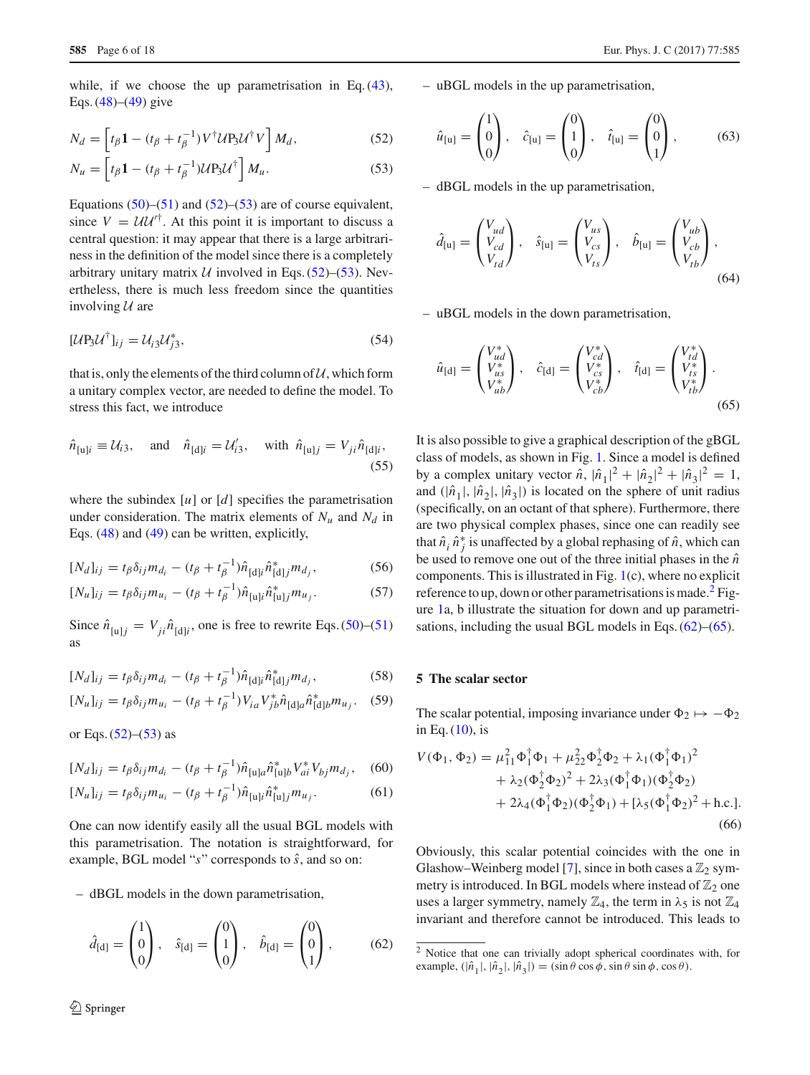while, if we choose the up parametrisation in Eq. [\(43\)](#page-4-9), Eqs.  $(48)$ – $(49)$  give

$$
N_d = \left[ t_\beta \mathbf{1} - (t_\beta + t_\beta^{-1}) V^\dagger U P_3 U^\dagger V \right] M_d, \tag{52}
$$

$$
N_u = \left[ t_\beta \mathbf{1} - (t_\beta + t_\beta^{-1}) \mathcal{U} \mathbf{P}_3 \mathcal{U}^\dagger \right] M_u. \tag{53}
$$

Equations  $(50)$ – $(51)$  and  $(52)$ – $(53)$  are of course equivalent, since  $V = U U^{T}$ . At this point it is important to discuss a central question: it may appear that there is a large arbitrariness in the definition of the model since there is a completely arbitrary unitary matrix  $U$  involved in Eqs. [\(52\)](#page-5-1)–[\(53\)](#page-5-2). Nevertheless, there is much less freedom since the quantities involving *U* are

$$
[\mathcal{U}\mathbf{P}_3\mathcal{U}^\dagger]_{ij} = \mathcal{U}_{i3}\mathcal{U}_{j3}^*,\tag{54}
$$

<span id="page-5-11"></span>that is, only the elements of the third column of  $U$ , which form a unitary complex vector, are needed to define the model. To stress this fact, we introduce

$$
\hat{n}_{[u]i} \equiv \mathcal{U}_{i3}
$$
, and  $\hat{n}_{[d]i} = \mathcal{U}'_{i3}$ , with  $\hat{n}_{[u]j} = V_{ji}\hat{n}_{[d]i}$ , (55)

where the subindex  $[u]$  or  $[d]$  specifies the parametrisation under consideration. The matrix elements of  $N_u$  and  $N_d$  in Eqs. [\(48\)](#page-4-7) and [\(49\)](#page-4-8) can be written, explicitly,

$$
[N_d]_{ij} = t_\beta \delta_{ij} m_{d_i} - (t_\beta + t_\beta^{-1}) \hat{n}_{[d]i} \hat{n}_{[d]j}^* m_{d_j},
$$
 (56)

$$
[N_u]_{ij} = t_\beta \delta_{ij} m_{u_i} - (t_\beta + t_\beta^{-1}) \hat{n}_{[u]i} \hat{n}_{[u]j}^* m_{u_j}.
$$
 (57)

Since  $\hat{n}_{[u]j} = V_{ji}\hat{n}_{[d]i}$ , one is free to rewrite Eqs. [\(50\)](#page-4-10)–[\(51\)](#page-4-11) as

$$
[N_d]_{ij} = t_\beta \delta_{ij} m_{d_i} - (t_\beta + t_\beta^{-1}) \hat{n}_{[d]i} \hat{n}_{[d]j}^* m_{d_j},
$$
 (58)

$$
[N_u]_{ij} = t_\beta \delta_{ij} m_{u_i} - (t_\beta + t_\beta^{-1}) V_{ia} V_{jb}^* \hat{n}_{[d]a} \hat{n}_{[d]b}^* m_{u_j}. \quad (59)
$$

or Eqs.  $(52)$ – $(53)$  as

$$
[N_d]_{ij} = t_\beta \delta_{ij} m_{d_i} - (t_\beta + t_\beta^{-1}) \hat{n}_{[u]a} \hat{n}_{[u]b}^* V_{ai}^* V_{bj} m_{d_j}, \quad (60)
$$

$$
[N_u]_{ij} = t_\beta \delta_{ij} m_{u_i} - (t_\beta + t_\beta^{-1}) \hat{n}_{[u]i} \hat{n}_{[u]j}^* m_{u_j}.
$$
 (61)

One can now identify easily all the usual BGL models with this parametrisation. The notation is straightforward, for example, BGL model "*s*" corresponds to *s*ˆ, and so on:

– dBGL models in the down parametrisation,

$$
\hat{d}_{[d]} = \begin{pmatrix} 1 \\ 0 \\ 0 \end{pmatrix}, \quad \hat{s}_{[d]} = \begin{pmatrix} 0 \\ 1 \\ 0 \end{pmatrix}, \quad \hat{b}_{[d]} = \begin{pmatrix} 0 \\ 0 \\ 1 \end{pmatrix}, \quad (62)
$$

– uBGL models in the up parametrisation,

<span id="page-5-9"></span><span id="page-5-1"></span>
$$
\hat{u}_{[u]} = \begin{pmatrix} 1 \\ 0 \\ 0 \end{pmatrix}, \quad \hat{c}_{[u]} = \begin{pmatrix} 0 \\ 1 \\ 0 \end{pmatrix}, \quad \hat{t}_{[u]} = \begin{pmatrix} 0 \\ 0 \\ 1 \end{pmatrix}, \tag{63}
$$

<span id="page-5-2"></span>– dBGL models in the up parametrisation,

<span id="page-5-10"></span>
$$
\hat{d}_{[u]} = \begin{pmatrix} V_{ud} \\ V_{cd} \\ V_{td} \end{pmatrix}, \quad \hat{s}_{[u]} = \begin{pmatrix} V_{us} \\ V_{cs} \\ V_{ts} \end{pmatrix}, \quad \hat{b}_{[u]} = \begin{pmatrix} V_{ub} \\ V_{cb} \\ V_{tb} \end{pmatrix}, \tag{64}
$$

– uBGL models in the down parametrisation,

<span id="page-5-5"></span>
$$
\hat{u}_{\text{[d]}} = \begin{pmatrix} V_{ud}^* \\ V_{us}^* \\ V_{ub}^* \end{pmatrix}, \quad \hat{c}_{\text{[d]}} = \begin{pmatrix} V_{cd}^* \\ V_{cs}^* \\ V_{cb}^* \end{pmatrix}, \quad \hat{t}_{\text{[d]}} = \begin{pmatrix} V_{td}^* \\ V_{ts}^* \\ V_{tb}^* \end{pmatrix}.
$$
\n(65)

It is also possible to give a graphical description of the gBGL class of models, as shown in Fig. [1.](#page-6-0) Since a model is defined by a complex unitary vector  $\hat{n}$ ,  $|\hat{n}_1|^2 + |\hat{n}_2|^2 + |\hat{n}_3|^2 = 1$ , and  $(|\hat{n}_1|, |\hat{n}_2|, |\hat{n}_3|)$  is located on the sphere of unit radius (specifically, on an octant of that sphere). Furthermore, there are two physical complex phases, since one can readily see that  $\hat{n}_i \hat{n}_j^*$  is unaffected by a global rephasing of  $\hat{n}$ , which can be used to remove one out of the three initial phases in the  $\hat{n}$ components. This is illustrated in Fig. [1\(](#page-6-0)c), where no explicit reference to up, down or other parametrisations is made.<sup>[2](#page-5-3)</sup> Figure [1a](#page-6-0), b illustrate the situation for down and up parametrisations, including the usual BGL models in Eqs.  $(62)$ – $(65)$ .

#### <span id="page-5-8"></span><span id="page-5-7"></span><span id="page-5-0"></span>**5 The scalar sector**

The scalar potential, imposing invariance under  $\Phi_2 \mapsto -\Phi_2$ in Eq.  $(10)$ , is

<span id="page-5-6"></span>
$$
V(\Phi_1, \Phi_2) = \mu_{11}^2 \Phi_1^{\dagger} \Phi_1 + \mu_{22}^2 \Phi_2^{\dagger} \Phi_2 + \lambda_1 (\Phi_1^{\dagger} \Phi_1)^2 + \lambda_2 (\Phi_2^{\dagger} \Phi_2)^2 + 2\lambda_3 (\Phi_1^{\dagger} \Phi_1) (\Phi_2^{\dagger} \Phi_2) + 2\lambda_4 (\Phi_1^{\dagger} \Phi_2) (\Phi_2^{\dagger} \Phi_1) + [\lambda_5 (\Phi_1^{\dagger} \Phi_2)^2 + \text{h.c.}].
$$
\n(66)

<span id="page-5-4"></span>Obviously, this scalar potential coincides with the one in Glashow–Weinberg model [\[7\]](#page-16-6), since in both cases a  $\mathbb{Z}_2$  symmetry is introduced. In BGL models where instead of  $\mathbb{Z}_2$  one uses a larger symmetry, namely  $\mathbb{Z}_4$ , the term in  $\lambda_5$  is not  $\mathbb{Z}_4$ invariant and therefore cannot be introduced. This leads to

<span id="page-5-3"></span><sup>2</sup> Notice that one can trivially adopt spherical coordinates with, for example,  $(|\hat{n}_1|, |\hat{n}_2|, |\hat{n}_3|) = (\sin \theta \cos \phi, \sin \theta \sin \phi, \cos \theta).$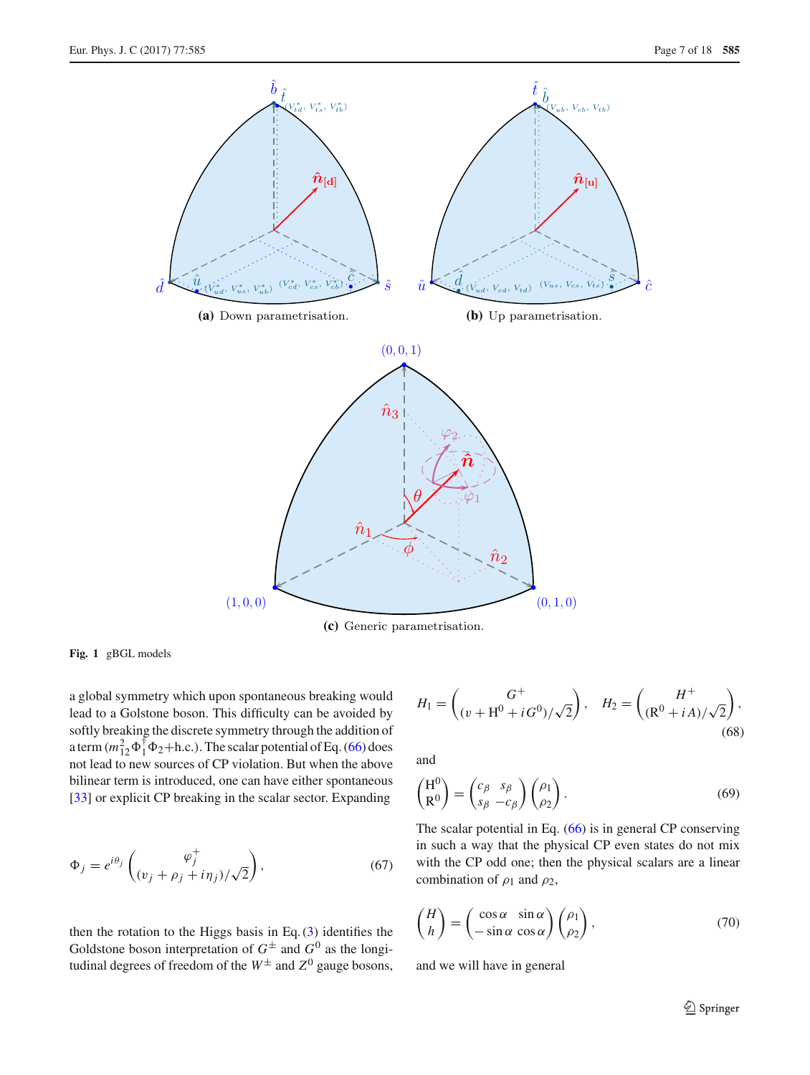

**(c)** Generic parametrisation.

<span id="page-6-0"></span>**Fig. 1** gBGL models

a global symmetry which upon spontaneous breaking would lead to a Golstone boson. This difficulty can be avoided by softly breaking the discrete symmetry through the addition of a term  $(m_{12}^2\Phi_1^{\dagger}\Phi_2 + h.c.).$  The scalar potential of Eq. [\(66\)](#page-5-6) does not lead to new sources of CP violation. But when the above bilinear term is introduced, one can have either spontaneous [\[33](#page-17-11)] or explicit CP breaking in the scalar sector. Expanding

$$
\Phi_j = e^{i\theta_j} \begin{pmatrix} \varphi_j^+ \\ (v_j + \rho_j + i\eta_j) / \sqrt{2} \end{pmatrix},\tag{67}
$$

then the rotation to the Higgs basis in Eq.  $(3)$  identifies the Goldstone boson interpretation of  $G^{\pm}$  and  $G^{0}$  as the longitudinal degrees of freedom of the  $W^{\pm}$  and  $Z^{0}$  gauge bosons,

$$
H_1 = \begin{pmatrix} G^+ \\ (v + H^0 + iG^0) / \sqrt{2} \end{pmatrix}, \quad H_2 = \begin{pmatrix} H^+ \\ (R^0 + iA) / \sqrt{2} \end{pmatrix},
$$
(68)

and

$$
\begin{pmatrix} H^0 \\ R^0 \end{pmatrix} = \begin{pmatrix} c_{\beta} & s_{\beta} \\ s_{\beta} & -c_{\beta} \end{pmatrix} \begin{pmatrix} \rho_1 \\ \rho_2 \end{pmatrix}.
$$
 (69)

The scalar potential in Eq. [\(66\)](#page-5-6) is in general CP conserving in such a way that the physical CP even states do not mix with the CP odd one; then the physical scalars are a linear combination of  $\rho_1$  and  $\rho_2$ ,

$$
\begin{pmatrix} H \\ h \end{pmatrix} = \begin{pmatrix} \cos \alpha & \sin \alpha \\ -\sin \alpha & \cos \alpha \end{pmatrix} \begin{pmatrix} \rho_1 \\ \rho_2 \end{pmatrix},
$$
\n(70)

<span id="page-6-1"></span>and we will have in general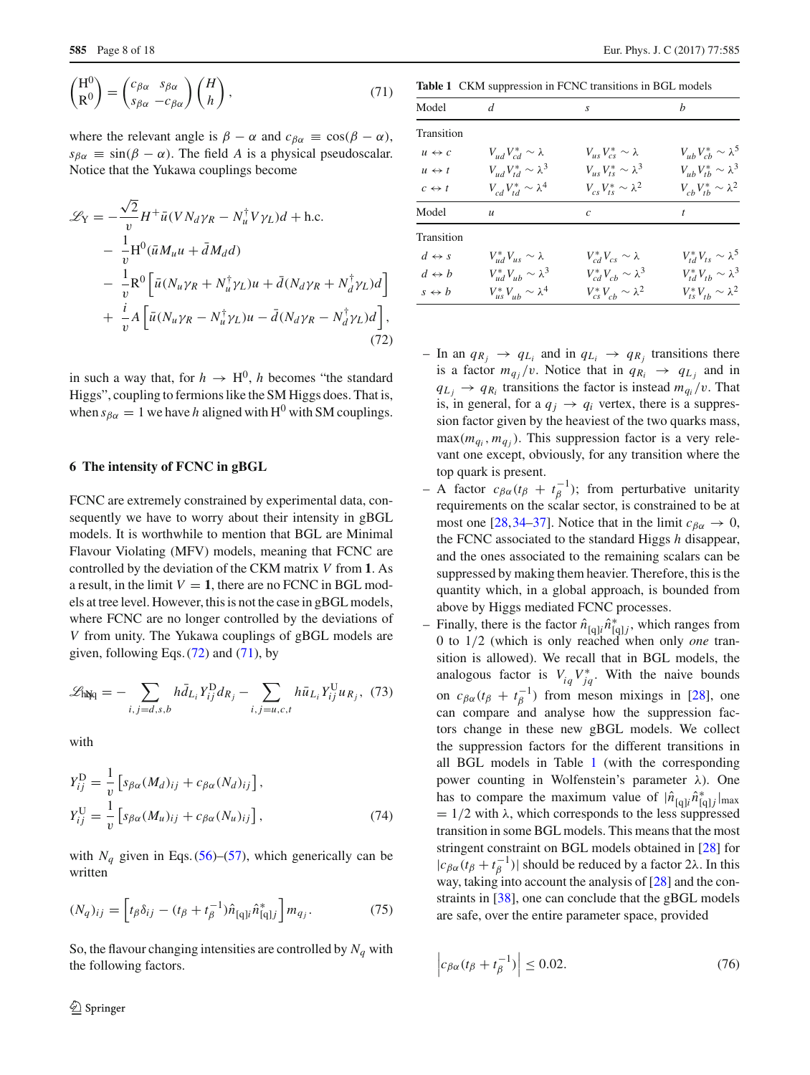$$
\begin{pmatrix} H^0 \\ R^0 \end{pmatrix} = \begin{pmatrix} c_{\beta\alpha} & s_{\beta\alpha} \\ s_{\beta\alpha} & -c_{\beta\alpha} \end{pmatrix} \begin{pmatrix} H \\ h \end{pmatrix},
$$
\n(71)

where the relevant angle is  $\beta - \alpha$  and  $c_{\beta\alpha} \equiv \cos(\beta - \alpha)$ ,  $s_{\beta\alpha} \equiv \sin(\beta - \alpha)$ . The field *A* is a physical pseudoscalar. Notice that the Yukawa couplings become

$$
\mathcal{L}_{Y} = -\frac{\sqrt{2}}{v} H^{+} \bar{u} (V N_{d} \gamma_{R} - N_{u}^{\dagger} V \gamma_{L}) d + \text{h.c.}
$$
  
\n
$$
- \frac{1}{v} H^{0} (\bar{u} M_{u} u + \bar{d} M_{d} d)
$$
  
\n
$$
- \frac{1}{v} R^{0} \left[ \bar{u} (N_{u} \gamma_{R} + N_{u}^{\dagger} \gamma_{L}) u + \bar{d} (N_{d} \gamma_{R} + N_{d}^{\dagger} \gamma_{L}) d \right]
$$
  
\n
$$
+ \frac{i}{v} A \left[ \bar{u} (N_{u} \gamma_{R} - N_{u}^{\dagger} \gamma_{L}) u - \bar{d} (N_{d} \gamma_{R} - N_{d}^{\dagger} \gamma_{L}) d \right],
$$
  
\n(72)

in such a way that, for  $h \to H^0$ , *h* becomes "the standard Higgs", coupling to fermions like the SM Higgs does. That is, when  $s_{\beta\alpha} = 1$  we have *h* aligned with H<sup>0</sup> with SM couplings.

# <span id="page-7-0"></span>**6 The intensity of FCNC in gBGL**

FCNC are extremely constrained by experimental data, consequently we have to worry about their intensity in gBGL models. It is worthwhile to mention that BGL are Minimal Flavour Violating (MFV) models, meaning that FCNC are controlled by the deviation of the CKM matrix *V* from **1**. As a result, in the limit  $V = 1$ , there are no FCNC in BGL models at tree level. However, this is not the case in gBGL models, where FCNC are no longer controlled by the deviations of *V* from unity. The Yukawa couplings of gBGL models are given, following Eqs.  $(72)$  and  $(71)$ , by

$$
\mathcal{L}_{hNq} = -\sum_{i,j=d,s,b} h \bar{d}_{L_i} Y_{ij}^{D} d_{R_j} - \sum_{i,j=u,c,t} h \bar{u}_{L_i} Y_{ij}^{U} u_{R_j}, \tag{73}
$$

with

$$
Y_{ij}^{\mathcal{D}} = \frac{1}{v} \left[ s_{\beta\alpha} (M_d)_{ij} + c_{\beta\alpha} (N_d)_{ij} \right],
$$
  
\n
$$
Y_{ij}^{\mathcal{U}} = \frac{1}{v} \left[ s_{\beta\alpha} (M_u)_{ij} + c_{\beta\alpha} (N_u)_{ij} \right],
$$
\n(74)

with  $N_q$  given in Eqs. [\(56\)](#page-5-7)–[\(57\)](#page-5-8), which generically can be written

$$
(N_q)_{ij} = \left[ t_\beta \delta_{ij} - (t_\beta + t_\beta^{-1}) \hat{n}_{[q]i} \hat{n}_{[q]j}^* \right] m_{q_j}.
$$
 (75)

So, the flavour changing intensities are controlled by  $N_q$  with the following factors.

**Table 1** CKM suppression in FCNC transitions in BGL models

<span id="page-7-2"></span>

| Model                 | d                                | S                                 | b                                |
|-----------------------|----------------------------------|-----------------------------------|----------------------------------|
| Transition            |                                  |                                   |                                  |
| $u \leftrightarrow c$ | $V_{ud}V_{cd}^* \sim \lambda$    | $V_{\mu s} V_{cs}^* \sim \lambda$ | $V_{ub}V_{cb}^* \sim \lambda^5$  |
| $u \leftrightarrow t$ | $V_{ud}V_{td}^* \sim \lambda^3$  | $V_{us}V_{ts}^* \sim \lambda^3$   | $V_{ub}V_{tb}^* \sim \lambda^3$  |
| $c \leftrightarrow t$ | $V_{cd}V_{td}^* \sim \lambda^4$  | $V_{cs}V_{ts}^* \sim \lambda^2$   | $V_{cb}V_{th}^* \sim \lambda^2$  |
| Model                 | $\boldsymbol{u}$                 | C                                 |                                  |
| Transition            |                                  |                                   |                                  |
| $d \leftrightarrow s$ | $V_{ud}^*V_{us} \sim \lambda$    | $V_{cd}^*V_{cs} \sim \lambda$     | $V_{td}^* V_{ts} \sim \lambda^5$ |
| $d \leftrightarrow b$ | $V_{ud}^* V_{ub} \sim \lambda^3$ | $V_{cd}^* V_{cb} \sim \lambda^3$  | $V_{td}^* V_{th} \sim \lambda^3$ |
| $s \leftrightarrow b$ | $V_{us}^* V_{ub} \sim \lambda^4$ | $V_{cs}^* V_{cb} \sim \lambda^2$  | $V_{ts}^* V_{tb} \sim \lambda^2$ |

- <span id="page-7-1"></span>– In an  $q_{R_i} \rightarrow q_{L_i}$  and in  $q_{L_i} \rightarrow q_{R_i}$  transitions there is a factor  $m_{q_i}/v$ . Notice that in  $q_{R_i} \rightarrow q_{L_i}$  and in  $q_{L_i} \rightarrow q_{R_i}$  transitions the factor is instead  $m_{q_i}/v$ . That is, in general, for a  $q_i \rightarrow q_i$  vertex, there is a suppression factor given by the heaviest of the two quarks mass,  $max(m_{q_i}, m_{q_i})$ . This suppression factor is a very relevant one except, obviously, for any transition where the top quark is present.
- $-$  A factor  $c_{\beta\alpha}(t_{\beta} + t_{\beta}^{-1})$ ; from perturbative unitarity requirements on the scalar sector, is constrained to be at most one [\[28,](#page-17-7)[34](#page-17-12)[–37\]](#page-17-13). Notice that in the limit  $c_{\beta\alpha} \to 0$ , the FCNC associated to the standard Higgs *h* disappear, and the ones associated to the remaining scalars can be suppressed by making them heavier. Therefore, this is the quantity which, in a global approach, is bounded from above by Higgs mediated FCNC processes.
- Finally, there is the factor  $\hat{n}_{[q]i}\hat{n}_{[q]j}^*$ , which ranges from 0 to 1/2 (which is only reached when only *one* transition is allowed). We recall that in BGL models, the analogous factor is  $V_{iq}V_{jq}^*$ . With the naive bounds on  $c_{\beta\alpha}(t_\beta + t_\beta^{-1})$  from meson mixings in [\[28](#page-17-7)], one can compare and analyse how the suppression factors change in these new gBGL models. We collect the suppression factors for the different transitions in all BGL models in Table [1](#page-7-2) (with the corresponding power counting in Wolfenstein's parameter  $λ$ ). One has to compare the maximum value of  $|\hat{n}_{[q]i}\hat{n}_{[q]j}^*|_{max}$  $= 1/2$  with  $\lambda$ , which corresponds to the less suppressed transition in some BGL models. This means that the most stringent constraint on BGL models obtained in [\[28\]](#page-17-7) for  $|c_{\beta\alpha}(t_{\beta} + t_{\beta}^{-1})|$  should be reduced by a factor 2λ. In this way, taking into account the analysis of [\[28\]](#page-17-7) and the constraints in [\[38\]](#page-17-14), one can conclude that the gBGL models are safe, over the entire parameter space, provided

<span id="page-7-3"></span>
$$
\left| c_{\beta\alpha}(t_{\beta} + t_{\beta}^{-1}) \right| \le 0.02. \tag{76}
$$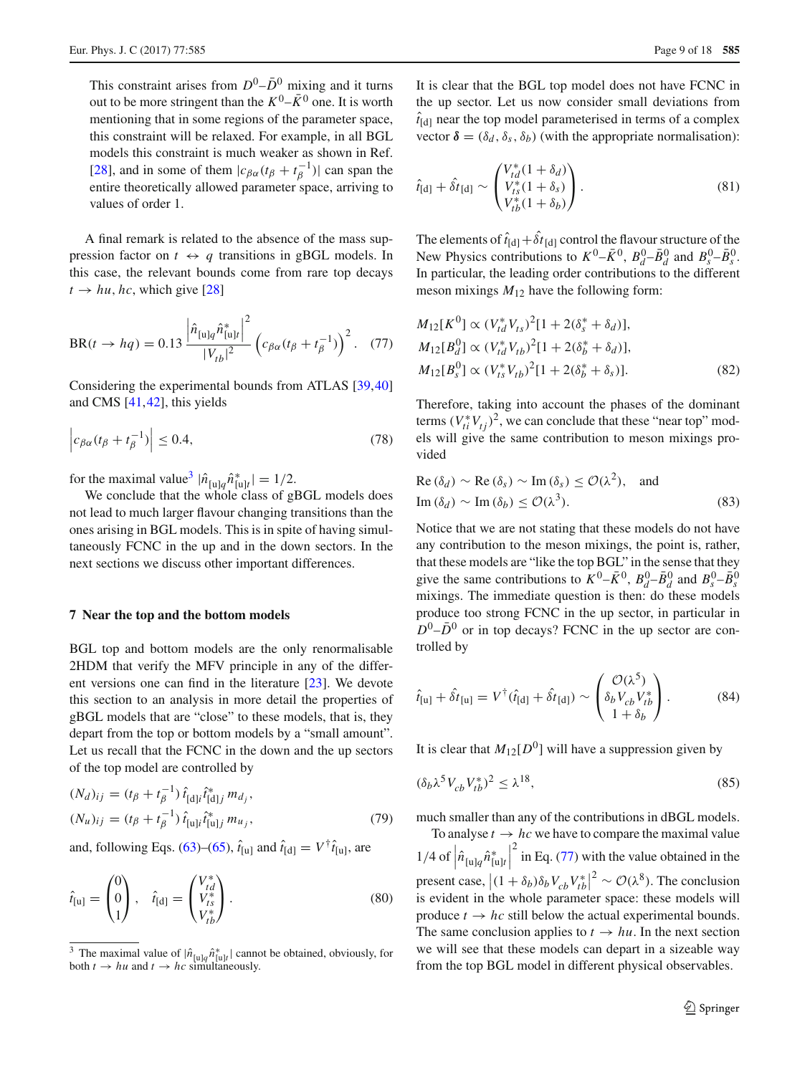This constraint arises from  $D^0$ – $\bar{D}^0$  mixing and it turns out to be more stringent than the  $K^0$ – $\bar{K}^0$  one. It is worth mentioning that in some regions of the parameter space, this constraint will be relaxed. For example, in all BGL models this constraint is much weaker as shown in Ref. [\[28](#page-17-7)], and in some of them  $|c_{\beta\alpha}(t_{\beta} + t_{\beta}^{-1})|$  can span the entire theoretically allowed parameter space, arriving to values of order 1.

A final remark is related to the absence of the mass suppression factor on  $t \leftrightarrow q$  transitions in gBGL models. In this case, the relevant bounds come from rare top decays  $t \rightarrow hu$ , *hc*, which give [\[28\]](#page-17-7)

<span id="page-8-2"></span>
$$
BR(t \to hq) = 0.13 \frac{\left| \hat{n}_{[u]q} \hat{n}_{[u]r}^* \right|^2}{|V_{tb}|^2} \left( c_{\beta\alpha} (t_\beta + t_\beta^{-1}) \right)^2. \tag{77}
$$

Considering the experimental bounds from ATLAS [\[39,](#page-17-15)[40\]](#page-17-16) and CMS [\[41,](#page-17-17)[42\]](#page-17-18), this yields

$$
\left| c_{\beta\alpha}(t_{\beta} + t_{\beta}^{-1}) \right| \le 0.4, \tag{78}
$$

for the maximal value<sup>3</sup>  $|\hat{n}_{[u]q} \hat{n}_{[u]t}^*| = 1/2$ .

We conclude that the whole class of gBGL models does not lead to much larger flavour changing transitions than the ones arising in BGL models. This is in spite of having simultaneously FCNC in the up and in the down sectors. In the next sections we discuss other important differences.

#### <span id="page-8-0"></span>**7 Near the top and the bottom models**

BGL top and bottom models are the only renormalisable 2HDM that verify the MFV principle in any of the different versions one can find in the literature [\[23](#page-17-3)]. We devote this section to an analysis in more detail the properties of gBGL models that are "close" to these models, that is, they depart from the top or bottom models by a "small amount". Let us recall that the FCNC in the down and the up sectors of the top model are controlled by

$$
(N_d)_{ij} = (t_\beta + t_\beta^{-1}) \hat{t}_{[d]j} \hat{t}_{[d]j}^* m_{d_j},
$$
  

$$
(N_u)_{ij} = (t_\beta + t_\beta^{-1}) \hat{t}_{[u]j} \hat{t}_{[u]j}^* m_{u_j},
$$
 (79)

and, following Eqs. [\(63\)](#page-5-9)–[\(65\)](#page-5-5),  $\hat{t}_{[u]}$  and  $\hat{t}_{[d]} = V^{\dagger} \hat{t}_{[u]}$ , are

$$
\hat{t}_{[u]} = \begin{pmatrix} 0 \\ 0 \\ 1 \end{pmatrix}, \quad \hat{t}_{[d]} = \begin{pmatrix} V_{td}^* \\ V_{ts}^* \\ V_{tb}^* \end{pmatrix}.
$$
\n(80)

It is clear that the BGL top model does not have FCNC in the up sector. Let us now consider small deviations from  $\hat{t}_{[d]}$  near the top model parameterised in terms of a complex vector  $\delta = (\delta_d, \delta_s, \delta_b)$  (with the appropriate normalisation):

<span id="page-8-3"></span>
$$
\hat{t}_{[d]} + \hat{\delta t}_{[d]} \sim \begin{pmatrix} V_{td}^*(1+\delta_d) \\ V_{ts}^*(1+\delta_s) \\ V_{tb}^*(1+\delta_b) \end{pmatrix} . \tag{81}
$$

The elements of  $\hat{t}_{[d]} + \delta t_{[d]}$  control the flavour structure of the New Physics contributions to  $K^0$ – $\bar{K}^0$ ,  $B_d^0$ – $\bar{B}_d^0$  and  $B_s^0$ – $\bar{B}_s^0$ . In particular, the leading order contributions to the different meson mixings  $M_{12}$  have the following form:

$$
M_{12}[K^{0}] \propto (V_{td}^{*}V_{ts})^{2}[1+2(\delta_{s}^{*}+\delta_{d})],
$$
  
\n
$$
M_{12}[B_{d}^{0}] \propto (V_{td}^{*}V_{tb})^{2}[1+2(\delta_{b}^{*}+\delta_{d})],
$$
  
\n
$$
M_{12}[B_{s}^{0}] \propto (V_{ts}^{*}V_{tb})^{2}[1+2(\delta_{b}^{*}+\delta_{s})].
$$
\n(82)

Therefore, taking into account the phases of the dominant terms  $(V_{ti}^* V_{tj})^2$ , we can conclude that these "near top" models will give the same contribution to meson mixings provided

Re 
$$
(\delta_d) \sim
$$
 Re  $(\delta_s) \sim$  Im  $(\delta_s) \leq \mathcal{O}(\lambda^2)$ , and  
Im  $(\delta_d) \sim$  Im  $(\delta_b) \leq \mathcal{O}(\lambda^3)$ . (83)

Notice that we are not stating that these models do not have any contribution to the meson mixings, the point is, rather, that these models are "like the top BGL" in the sense that they give the same contributions to  $K^0$ – $\bar{K}^0$ ,  $B_d^0$ – $\bar{B}_d^0$  and  $B_s^0$ – $\bar{B}_s^0$ mixings. The immediate question is then: do these models produce too strong FCNC in the up sector, in particular in  $D^0$ – $\bar{D}^0$  or in top decays? FCNC in the up sector are controlled by

$$
\hat{t}_{[u]} + \hat{\delta t}_{[u]} = V^{\dagger}(\hat{t}_{[d]} + \hat{\delta t}_{[d]}) \sim \begin{pmatrix} \mathcal{O}(\lambda^5) \\ \delta_b V_{cb} V_{tb}^* \\ 1 + \delta_b \end{pmatrix}.
$$
 (84)

It is clear that  $M_{12}[D^0]$  will have a suppression given by

$$
(\delta_b \lambda^5 V_{cb} V_{tb}^*)^2 \le \lambda^{18},\tag{85}
$$

much smaller than any of the contributions in dBGL models.

To analyse  $t \to hc$  we have to compare the maximal value  $1/4$  of  $\hat{n}_{[u]q} \hat{n}_{[u]t}^*$  $\begin{array}{c} \hline \end{array}$  $2 \text{ in Eq. (77)}$  $2 \text{ in Eq. (77)}$  $2 \text{ in Eq. (77)}$  with the value obtained in the present case,  $|(1 + \delta_b)\delta_b V_{cb} V_{tb}^*|^2 \sim \mathcal{O}(\lambda^8)$ . The conclusion is evident in the whole parameter space: these models will produce  $t \rightarrow hc$  still below the actual experimental bounds. The same conclusion applies to  $t \to hu$ . In the next section we will see that these models can depart in a sizeable way from the top BGL model in different physical observables.

<span id="page-8-1"></span><sup>&</sup>lt;sup>3</sup> The maximal value of  $|\hat{n}_{[u]q} \hat{n}_{[u]l}^*|$  cannot be obtained, obviously, for both  $t \to hu$  and  $t \to hc$  simultaneously.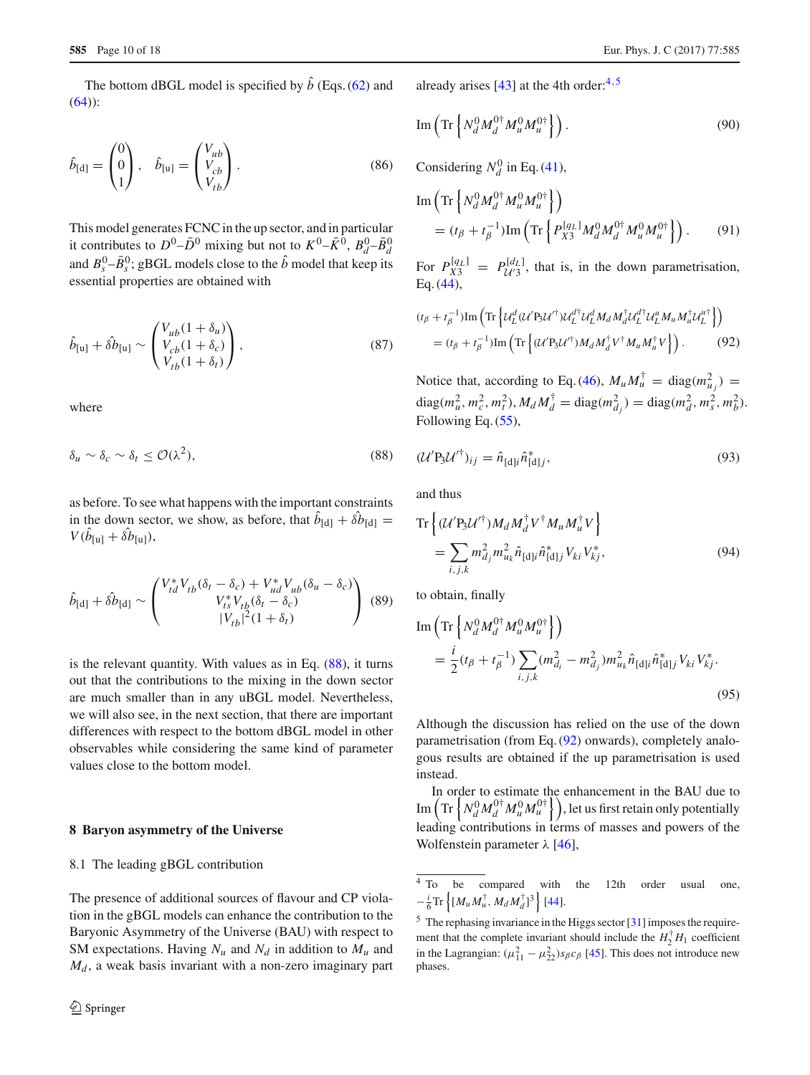The bottom dBGL model is specified by  $\hat{b}$  (Eqs. [\(62\)](#page-5-4) and  $(64)$ :

$$
\hat{b}_{[d]} = \begin{pmatrix} 0 \\ 0 \\ 1 \end{pmatrix}, \quad \hat{b}_{[u]} = \begin{pmatrix} V_{ub} \\ V_{cb} \\ V_{tb} \end{pmatrix}.
$$
\n(86)

This model generates FCNC in the up sector, and in particular it contributes to  $D^0$ – $\bar{D}^0$  mixing but not to  $K^0$ – $\bar{K}^0$ ,  $B_d^0$ – $\bar{B}_d^0$ and  $B_s^0$ – $\bar{B}_s^0$ ; gBGL models close to the  $\hat{b}$  model that keep its essential properties are obtained with

$$
\hat{b}_{[u]} + \hat{\delta b}_{[u]} \sim \begin{pmatrix} V_{ub}(1 + \delta_u) \\ V_{cb}(1 + \delta_c) \\ V_{tb}(1 + \delta_t) \end{pmatrix},
$$
\n(87)

<span id="page-9-1"></span>where

$$
\delta_u \sim \delta_c \sim \delta_t \le \mathcal{O}(\lambda^2),\tag{88}
$$

as before. To see what happens with the important constraints in the down sector, we show, as before, that  $b_{[d]} + \delta b_{[d]} =$  $V(b_{[u]} + \delta b_{[u]}),$ 

$$
\hat{b}_{\text{[d]}} + \hat{\delta b}_{\text{[d]}} \sim \begin{pmatrix} V_{td}^* V_{tb} (\delta_t - \delta_c) + V_{ud}^* V_{ub} (\delta_u - \delta_c) \\ V_{ts}^* V_{tb} (\delta_t - \delta_c) \\ |V_{tb}|^2 (1 + \delta_t) \end{pmatrix} (89)
$$

is the relevant quantity. With values as in Eq. [\(88\)](#page-9-1), it turns out that the contributions to the mixing in the down sector are much smaller than in any uBGL model. Nevertheless, we will also see, in the next section, that there are important differences with respect to the bottom dBGL model in other observables while considering the same kind of parameter values close to the bottom model.

#### <span id="page-9-0"></span>**8 Baryon asymmetry of the Universe**

#### 8.1 The leading gBGL contribution

The presence of additional sources of flavour and CP violation in the gBGL models can enhance the contribution to the Baryonic Asymmetry of the Universe (BAU) with respect to SM expectations. Having  $N_u$  and  $N_d$  in addition to  $M_u$  and  $M_d$ , a weak basis invariant with a non-zero imaginary part

already arises [\[43](#page-17-19)] at the [4](#page-9-2)th order: $4.5$  $4.5$ 

$$
\operatorname{Im}\left(\operatorname{Tr}\left\{N_d^0 M_d^{0\dagger} M_u^0 M_u^{0\dagger}\right\}\right). \tag{90}
$$

Considering  $N_d^0$  in Eq. [\(41\)](#page-4-4),

$$
\text{Im}\left(\text{Tr}\left\{N_d^0 M_d^{0\dagger} M_u^0 M_u^{0\dagger}\right\}\right) = (t_\beta + t_\beta^{-1}) \text{Im}\left(\text{Tr}\left\{P_{X3}^{[q_L]} M_d^0 M_d^{0\dagger} M_u^0 M_u^{0\dagger}\right\}\right). \tag{91}
$$

<span id="page-9-7"></span>For  $P_{\mathcal{U}3}^{[q_L]} = P_{\mathcal{U}'3}^{[d_L]}$ , that is, in the down parametrisation, Eq. [\(44\)](#page-4-6),

<span id="page-9-4"></span>
$$
(t_{\beta} + t_{\beta}^{-1}) \operatorname{Im} \left( \operatorname{Tr} \left\{ \mathcal{U}_{L}^{d} (\mathcal{U}^{\prime} \mathbf{B}_{3} \mathcal{U}^{\dagger}) \mathcal{U}_{L}^{d\dagger} \mathcal{U}_{L}^{d} M_{d} M_{d}^{\dagger} \mathcal{U}_{L}^{d\dagger} \mathcal{U}_{L}^{u} M_{u} M_{u}^{\dagger} \mathcal{U}_{L}^{u\dagger} \right\} \right) = (t_{\beta} + t_{\beta}^{-1}) \operatorname{Im} \left( \operatorname{Tr} \left\{ (\mathcal{U}^{\prime} \mathbf{B}_{3} \mathcal{U}^{\dagger}) M_{d} M_{d}^{\dagger} \mathcal{V}^{\dagger} M_{u} M_{u}^{\dagger} \mathcal{V} \right\} \right). \tag{92}
$$

Notice that, according to Eq. [\(46\)](#page-4-12),  $M_u M_u^{\dagger} = \text{diag}(m_{u_j}^2)$  $diag(m_u^2, m_c^2, m_t^2), M_d M_d^{\dagger} = diag(m_{d_j}^2) = diag(m_d^2, m_s^2, m_b^2).$ Following Eq. [\(55\)](#page-5-11),

$$
(\mathcal{U}' \mathbf{P}_3 \mathcal{U}'^{\dagger})_{ij} = \hat{n}_{[\mathbf{d}]i} \hat{n}_{[\mathbf{d}]j}^*,\tag{93}
$$

and thus

<span id="page-9-5"></span>
$$
\operatorname{Tr}\left\{(\mathcal{U}'\mathbf{P}_{3}\mathcal{U}'^{\dagger})M_{d}M_{d}^{\dagger}V^{\dagger}M_{u}M_{u}^{\dagger}V\right\}=\sum_{i,j,k}m_{dj}^{2}m_{u_{k}}^{2}\hat{n}_{\text{[d]i}}\hat{n}_{\text{[d]j}}^{\ast}V_{ki}V_{kj}^{*},
$$
(94)

to obtain, finally

<span id="page-9-6"></span>Im 
$$
\left( \text{Tr} \left\{ N_d^0 M_d^{0\dagger} M_u^0 M_u^{0\dagger} \right\} \right)
$$
  
=  $\frac{i}{2} (t_\beta + t_\beta^{-1}) \sum_{i,j,k} (m_{d_i}^2 - m_{d_j}^2) m_{u_k}^2 \hat{n}_{[\text{d}]} i \hat{n}_{[\text{d}]}^* V_{ki} V_{kj}^*.$  (95)

Although the discussion has relied on the use of the down parametrisation (from Eq. [\(92\)](#page-9-4) onwards), completely analogous results are obtained if the up parametrisation is used instead.

In order to estimate the enhancement in the BAU due to  $\text{Im}\left(\text{Tr}\left\{N_d^0M_d^{0\dagger}M_u^{0}M_u^{0\dagger}\right\}\right),$  let us first retain only potentially leading contributions in terms of masses and powers of the Wolfenstein parameter  $\lambda$  [\[46](#page-17-20)],

<span id="page-9-2"></span><sup>4</sup> To be compared with the 12th order usual one,  $-\frac{i}{6}\text{Tr}\left\{ [M_u M_u^{\dagger}, M_d M_d^{\dagger}]^3 \right\}$  [\[44](#page-17-21)].

<span id="page-9-3"></span><sup>5</sup> The rephasing invariance in the Higgs sector [\[31](#page-17-9)] imposes the requirement that the complete invariant should include the  $H_2^{\dagger} H_1$  coefficient in the Lagrangian:  $(\mu_{11}^2 - \mu_{22}^2) s_{\beta} c_{\beta}$  [\[45\]](#page-17-22). This does not introduce new phases.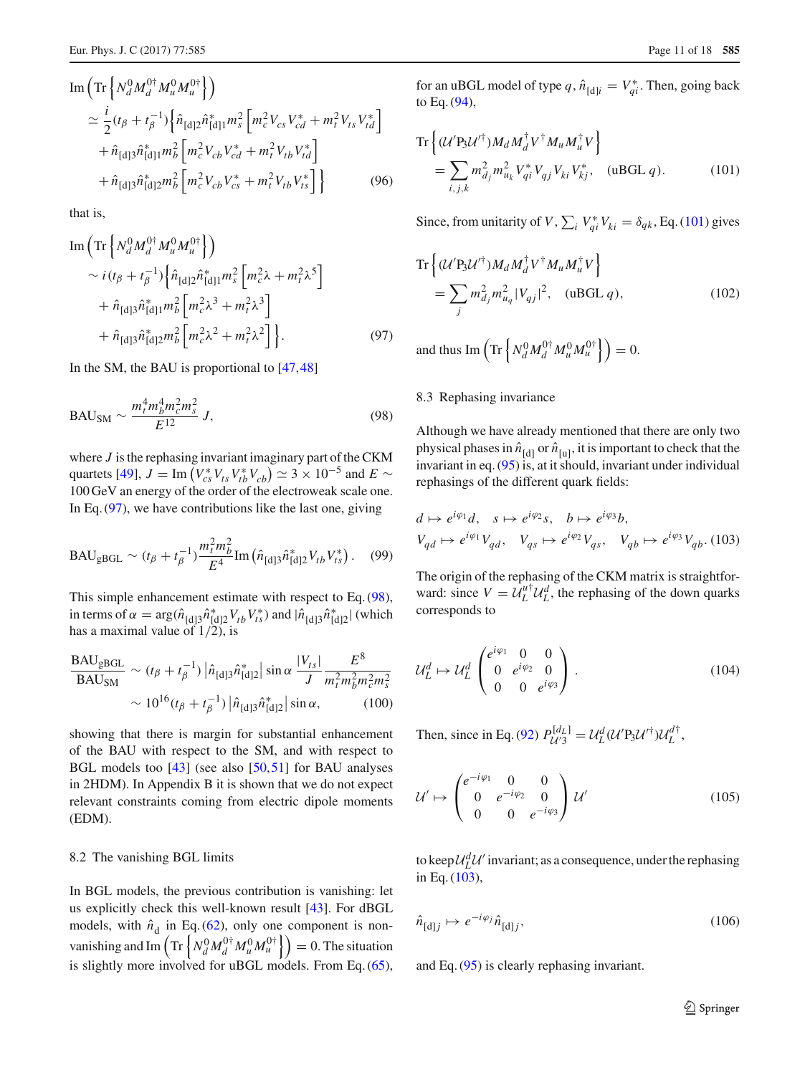Im 
$$
\left( \text{Tr} \left\{ N_d^0 M_d^{0\dagger} M_u^0 M_u^{0\dagger} \right\} \right)
$$
  
\n
$$
\simeq \frac{i}{2} (t_\beta + t_\beta^{-1}) \left\{ \hat{n}_{[d]2} \hat{n}_{[d]1}^* m_s^2 \left[ m_c^2 V_{cs} V_{cd}^* + m_t^2 V_{ts} V_{td}^* \right] + \hat{n}_{[d]3} \hat{n}_{[d]1}^* m_b^2 \left[ m_c^2 V_{cb} V_{cd}^* + m_t^2 V_{tb} V_{td}^* \right] + \hat{n}_{[d]3} \hat{n}_{[d]2}^* m_b^2 \left[ m_c^2 V_{cb} V_{cs}^* + m_t^2 V_{tb} V_{ts}^* \right] \right\}
$$
\n(96)

that is,

<span id="page-10-0"></span>Im 
$$
\left( \text{Tr} \left\{ N_d^0 M_d^{0\dagger} M_u^0 M_u^{0\dagger} \right\} \right)
$$
  
\n $\sim i (t_\beta + t_\beta^{-1}) \left\{ \hat{n}_{[d]2} \hat{n}_{[d]1}^* m_s^2 \left[ m_c^2 \lambda + m_t^2 \lambda^5 \right] \right.$   
\n $+ \hat{n}_{[d]3} \hat{n}_{[d]1}^* m_b^2 \left[ m_c^2 \lambda^3 + m_t^2 \lambda^3 \right]$   
\n $+ \hat{n}_{[d]3} \hat{n}_{[d]2}^* m_b^2 \left[ m_c^2 \lambda^2 + m_t^2 \lambda^2 \right] \right\}.$  (97)

In the SM, the BAU is proportional to [\[47,](#page-17-23)[48\]](#page-17-24)

$$
BAU_{SM} \sim \frac{m_t^4 m_b^4 m_c^2 m_s^2}{E^{12}} J,
$$
\n(98)

where *J* is the rephasing invariant imaginary part of the CKM quartets [\[49](#page-17-25)],  $J = \text{Im}(V_{cs}^* V_{ts} V_{tb}^* V_{cb}) \simeq 3 \times 10^{-5}$  and  $E \sim$ 100 GeV an energy of the order of the electroweak scale one. In Eq.  $(97)$ , we have contributions like the last one, giving

$$
BAU_{gBGL} \sim (t_{\beta} + t_{\beta}^{-1}) \frac{m_t^2 m_b^2}{E^4} \text{Im} \left( \hat{n}_{[d]3} \hat{n}_{[d]2}^* V_{tb} V_{ts}^* \right). \tag{99}
$$

This simple enhancement estimate with respect to Eq. [\(98\)](#page-10-1), in terms of  $\alpha = \arg(\hat{n}_{\text{d}3} \hat{n}_{\text{d}2}^* V_{tb} V_{ts}^*)$  and  $|\hat{n}_{\text{d}3} \hat{n}_{\text{d}2}^*|$  (which has a maximal value of  $1/2$ ), is

<span id="page-10-4"></span>
$$
\frac{\text{BAU}_{\text{gBGL}}}{\text{BAU}_{\text{SM}}} \sim (t_{\beta} + t_{\beta}^{-1}) |\hat{n}_{\text{[d]3}} \hat{n}_{\text{[d]2}}^*| \sin \alpha \frac{|V_{ts}|}{J} \frac{E^8}{m_t^2 m_b^2 m_c^2 m_s^2}
$$

$$
\sim 10^{16} (t_{\beta} + t_{\beta}^{-1}) |\hat{n}_{\text{[d]3}} \hat{n}_{\text{[d]2}}^*| \sin \alpha, \qquad (100)
$$

showing that there is margin for substantial enhancement of the BAU with respect to the SM, and with respect to BGL models too [\[43\]](#page-17-19) (see also [\[50](#page-17-26)[,51](#page-17-27)] for BAU analyses in 2HDM). In Appendix B it is shown that we do not expect relevant constraints coming from electric dipole moments (EDM).

# 8.2 The vanishing BGL limits

In BGL models, the previous contribution is vanishing: let us explicitly check this well-known result [\[43](#page-17-19)]. For dBGL models, with  $\hat{n}_d$  in Eq. [\(62\)](#page-5-4), only one component is nonvanishing and Im  $\left( \text{Tr} \left\{ N_d^0 M_d^{0\dagger} M_u^{0} M_u^{0\dagger} \right\} \right) = 0$ . The situation is slightly more involved for uBGL models. From Eq. [\(65\)](#page-5-5),

for an uBGL model of type  $q$ ,  $\hat{n}_{[d]i} = V_{qi}^*$ . Then, going back to Eq. [\(94\)](#page-9-5),

<span id="page-10-2"></span>
$$
\text{Tr}\left\{ (\mathcal{U}' P_3 \mathcal{U}'^{\dagger}) M_d M_d^{\dagger} V^{\dagger} M_u M_u^{\dagger} V \right\} \n= \sum_{i,j,k} m_{dj}^2 m_{u_k}^2 V_{qi}^* V_{qj} V_{ki} V_{kj}^*, \quad (\text{uBGL } q). \tag{101}
$$

Since, from unitarity of *V*,  $\sum_i V_{qi}^* V_{ki} = \delta_{qk}$ , Eq. [\(101\)](#page-10-2) gives

$$
\text{Tr}\left\{ (\mathcal{U}' \mathbf{P}_{3} \mathcal{U}'^{\dagger}) M_{d} M_{d}^{\dagger} V^{\dagger} M_{u} M_{u}^{\dagger} V \right\} \n= \sum_{j} m_{dj}^{2} m_{uq}^{2} |V_{qj}|^{2}, \quad (\text{uBGL } q),
$$
\n(102)

<span id="page-10-1"></span>and thus  $\text{Im}\left(\text{Tr}\left\{N_d^0 M_d^{0\dagger} M_u^{0} M_u^{0\dagger}\right\}\right) = 0.$ 

# 8.3 Rephasing invariance

Although we have already mentioned that there are only two physical phases in  $\hat{n}_{\text{[d]}}$  or  $\hat{n}_{\text{[u]}},$  it is important to check that the invariant in eq. [\(95\)](#page-9-6) is, at it should, invariant under individual rephasings of the different quark fields:

<span id="page-10-3"></span>
$$
d \mapsto e^{i\varphi_1}d, \quad s \mapsto e^{i\varphi_2}s, \quad b \mapsto e^{i\varphi_3}b,
$$
  

$$
V_{qd} \mapsto e^{i\varphi_1}V_{qd}, \quad V_{qs} \mapsto e^{i\varphi_2}V_{qs}, \quad V_{qb} \mapsto e^{i\varphi_3}V_{qb}.
$$
(103)

The origin of the rephasing of the CKM matrix is straightforward: since  $V = U_L^{u\dagger} U_L^d$ , the rephasing of the down quarks corresponds to

$$
\mathcal{U}_L^d \mapsto \mathcal{U}_L^d \begin{pmatrix} e^{i\varphi_1} & 0 & 0 \\ 0 & e^{i\varphi_2} & 0 \\ 0 & 0 & e^{i\varphi_3} \end{pmatrix} . \tag{104}
$$

Then, since in Eq. [\(92\)](#page-9-4)  $P_{\mathcal{U}'3}^{[d_L]} = \mathcal{U}_L^d (\mathcal{U}' P_3 \mathcal{U}'^{\dagger}) \mathcal{U}_L^{d\dagger}$ ,

$$
\mathcal{U}' \mapsto \begin{pmatrix} e^{-i\varphi_1} & 0 & 0 \\ 0 & e^{-i\varphi_2} & 0 \\ 0 & 0 & e^{-i\varphi_3} \end{pmatrix} \mathcal{U}' \tag{105}
$$

to keep  $\mathcal{U}_{L}^{d}$  *U*<sup>*l*</sup> invariant; as a consequence, under the rephasing in Eq. [\(103\)](#page-10-3),

$$
\hat{n}_{\text{[d]j}} \mapsto e^{-i\varphi_j} \hat{n}_{\text{[d]j}},\tag{106}
$$

and Eq. [\(95\)](#page-9-6) is clearly rephasing invariant.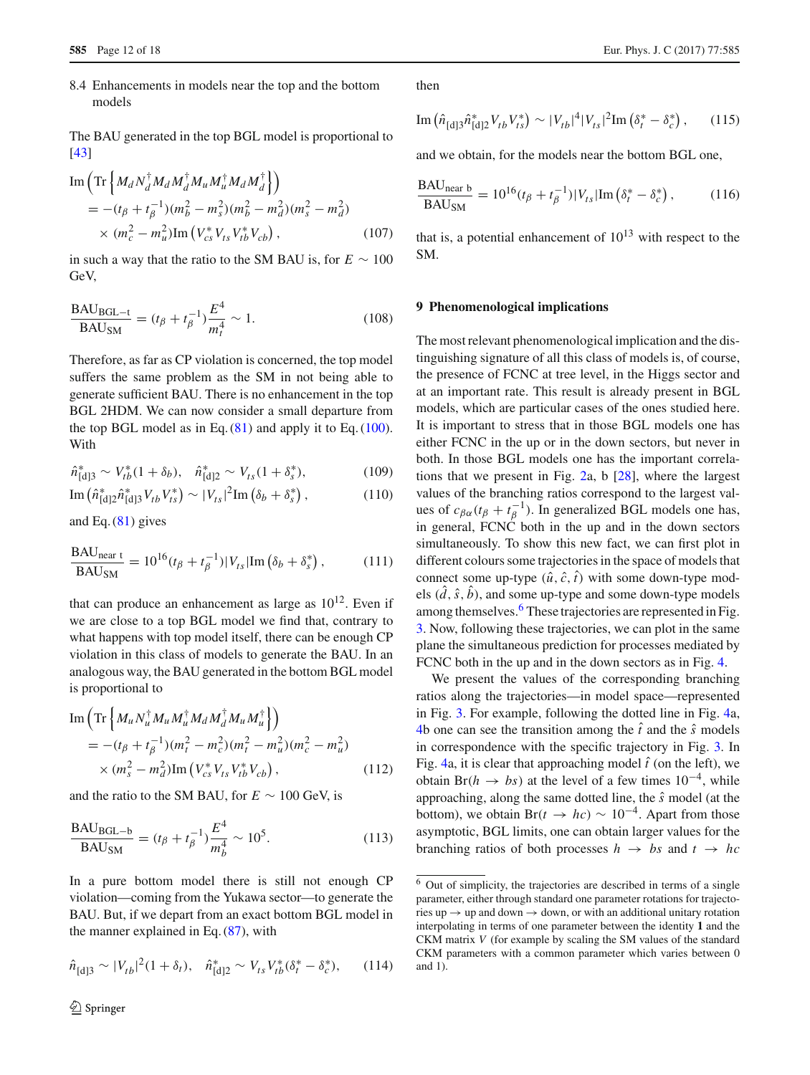8.4 Enhancements in models near the top and the bottom models

The BAU generated in the top BGL model is proportional to [\[43](#page-17-19)]

Im 
$$
\left( \text{Tr} \left\{ M_d N_d^{\dagger} M_d M_d^{\dagger} M_u M_u^{\dagger} M_d M_d^{\dagger} \right\} \right)
$$
  
\n
$$
= -(t_{\beta} + t_{\beta}^{-1}) (m_b^2 - m_s^2) (m_b^2 - m_d^2) (m_s^2 - m_d^2)
$$
\n
$$
\times (m_c^2 - m_u^2) \text{Im} \left( V_{cs}^* V_{ts} V_{tb}^* V_{cb} \right), \qquad (107)
$$

in such a way that the ratio to the SM BAU is, for  $E \sim 100$ GeV,

$$
\frac{\text{BAU}_{\text{BGL}-t}}{\text{BAU}_{\text{SM}}} = (t_{\beta} + t_{\beta}^{-1}) \frac{E^4}{m_t^4} \sim 1. \tag{108}
$$

Therefore, as far as CP violation is concerned, the top model suffers the same problem as the SM in not being able to generate sufficient BAU. There is no enhancement in the top BGL 2HDM. We can now consider a small departure from the top BGL model as in Eq.  $(81)$  and apply it to Eq.  $(100)$ . With

$$
\hat{n}_{[d]3}^* \sim V_{tb}^*(1+\delta_b), \quad \hat{n}_{[d]2}^* \sim V_{ts}(1+\delta_s^*), \tag{109}
$$

Im 
$$
(\hat{n}_{[d]2}^* \hat{n}_{[d]3}^* V_{tb} V_{ts}^*) \sim |V_{ts}|^2
$$
Im  $(\delta_b + \delta_s^*)$ , (110)

and Eq.  $(81)$  gives

$$
\frac{\text{BAU}_{\text{near t}}}{\text{BAU}_{\text{SM}}} = 10^{16} (t_{\beta} + t_{\beta}^{-1}) |V_{ts}|\text{Im}\left(\delta_b + \delta_s^*\right),\tag{111}
$$

that can produce an enhancement as large as  $10^{12}$ . Even if we are close to a top BGL model we find that, contrary to what happens with top model itself, there can be enough CP violation in this class of models to generate the BAU. In an analogous way, the BAU generated in the bottom BGL model is proportional to

Im 
$$
\left( \text{Tr} \left\{ M_u N_u^{\dagger} M_u M_u^{\dagger} M_d M_d^{\dagger} M_u M_u^{\dagger} \right\} \right)
$$
  
\n
$$
= -(t_{\beta} + t_{\beta}^{-1}) (m_t^2 - m_c^2) (m_t^2 - m_u^2) (m_c^2 - m_u^2)
$$
\n
$$
\times (m_s^2 - m_d^2) \text{Im} \left( V_{cs}^* V_{ts} V_{tb}^* V_{cb} \right), \qquad (112)
$$

and the ratio to the SM BAU, for  $E \sim 100$  GeV, is

$$
\frac{\text{BAU}_{\text{BGL}-b}}{\text{BAU}_{\text{SM}}} = (t_{\beta} + t_{\beta}^{-1}) \frac{E^4}{m_b^4} \sim 10^5. \tag{113}
$$

In a pure bottom model there is still not enough CP violation—coming from the Yukawa sector—to generate the BAU. But, if we depart from an exact bottom BGL model in the manner explained in Eq.  $(87)$ , with

$$
\hat{n}_{\text{[d]3}} \sim |V_{tb}|^2 (1 + \delta_t), \quad \hat{n}_{\text{[d]2}}^* \sim V_{ts} V_{tb}^* (\delta_t^* - \delta_c^*), \qquad (114)
$$

then

Im 
$$
(\hat{n}_{[d]3} \hat{n}_{[d]2}^* V_{tb} V_{ts}^*) \sim |V_{tb}|^4 |V_{ts}|^2
$$
Im  $(\delta_t^* - \delta_c^*)$ , (115)

and we obtain, for the models near the bottom BGL one,

$$
\frac{\text{BAU}_{\text{near }b}}{\text{BAU}_{\text{SM}}} = 10^{16} (t_{\beta} + t_{\beta}^{-1}) |V_{ts}| \text{Im} \left(\delta_t^* - \delta_c^* \right), \tag{116}
$$

that is, a potential enhancement of  $10^{13}$  with respect to the SM.

## **9 Phenomenological implications**

The most relevant phenomenological implication and the distinguishing signature of all this class of models is, of course, the presence of FCNC at tree level, in the Higgs sector and at an important rate. This result is already present in BGL models, which are particular cases of the ones studied here. It is important to stress that in those BGL models one has either FCNC in the up or in the down sectors, but never in both. In those BGL models one has the important correlations that we present in Fig. [2a](#page-12-0), b [\[28](#page-17-7)], where the largest values of the branching ratios correspond to the largest values of  $c_{\beta\alpha}(t_\beta + t_\beta^{-1})$ . In generalized BGL models one has, in general, FCNC both in the up and in the down sectors simultaneously. To show this new fact, we can first plot in different colours some trajectories in the space of models that connect some up-type  $(\hat{u}, \hat{c}, \hat{t})$  with some down-type models  $(\hat{d}, \hat{s}, \hat{b})$ , and some up-type and some down-type models among themselves.<sup>6</sup> These trajectories are represented in Fig. [3.](#page-12-1) Now, following these trajectories, we can plot in the same plane the simultaneous prediction for processes mediated by FCNC both in the up and in the down sectors as in Fig. [4.](#page-13-0)

We present the values of the corresponding branching ratios along the trajectories—in model space—represented in Fig. [3.](#page-12-1) For example, following the dotted line in Fig. [4a](#page-13-0), [4b](#page-13-0) one can see the transition among the  $\hat{t}$  and the  $\hat{s}$  models in correspondence with the specific trajectory in Fig. [3.](#page-12-1) In Fig. [4a](#page-13-0), it is clear that approaching model  $\hat{t}$  (on the left), we obtain Br( $h \rightarrow bs$ ) at the level of a few times 10<sup>-4</sup>, while approaching, along the same dotted line, the *s*ˆ model (at the bottom), we obtain Br( $t \to hc$ ) ~ 10<sup>-4</sup>. Apart from those asymptotic, BGL limits, one can obtain larger values for the branching ratios of both processes  $h \rightarrow bs$  and  $t \rightarrow hc$ 

<span id="page-11-0"></span><sup>6</sup> Out of simplicity, the trajectories are described in terms of a single parameter, either through standard one parameter rotations for trajectories up  $\rightarrow$  up and down  $\rightarrow$  down, or with an additional unitary rotation interpolating in terms of one parameter between the identity **1** and the CKM matrix *V* (for example by scaling the SM values of the standard CKM parameters with a common parameter which varies between 0 and 1).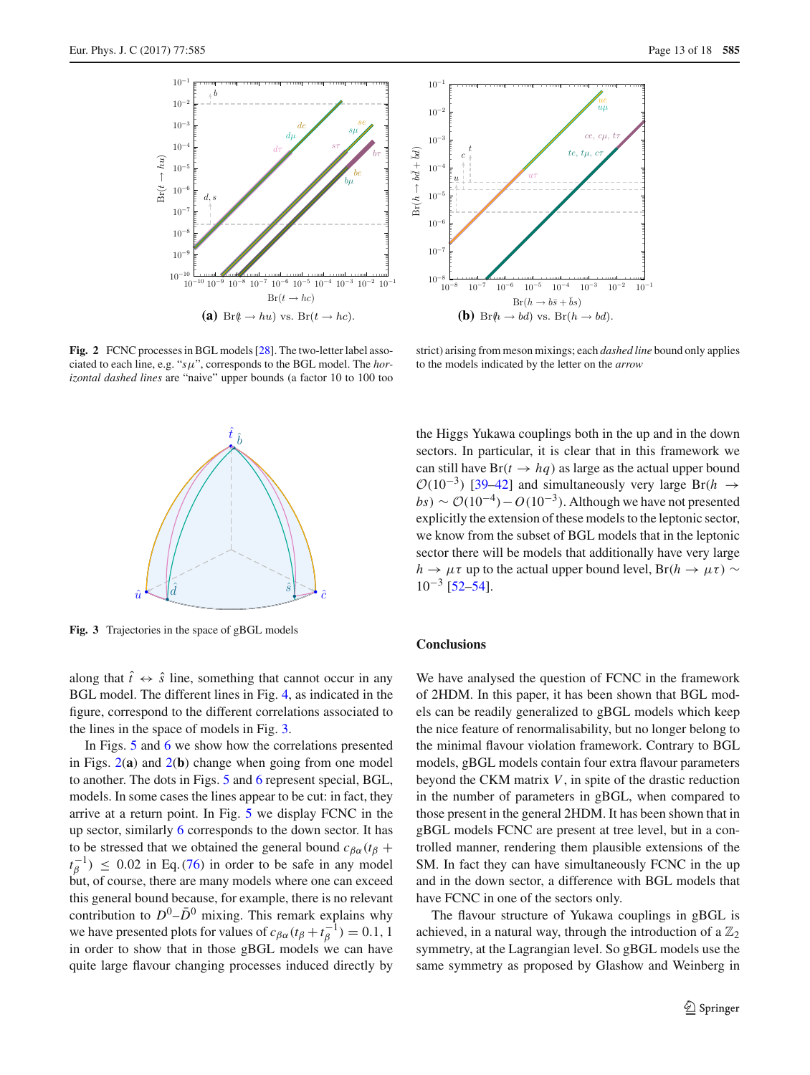

<span id="page-12-0"></span>**Fig. 2** FCNC processes in BGL models [\[28\]](#page-17-7). The two-letter label associated to each line, e.g. "*s*μ", corresponds to the BGL model. The *horizontal dashed lines* are "naive" upper bounds (a factor 10 to 100 too



strict) arising from meson mixings; each *dashed line* bound only applies to the models indicated by the letter on the *arrow*



<span id="page-12-1"></span>**Fig. 3** Trajectories in the space of gBGL models

along that  $\hat{t} \leftrightarrow \hat{s}$  line, something that cannot occur in any BGL model. The different lines in Fig. [4,](#page-13-0) as indicated in the figure, correspond to the different correlations associated to the lines in the space of models in Fig. [3.](#page-12-1)

In Figs. [5](#page-13-1) and [6](#page-13-2) we show how the correlations presented in Figs. [2\(](#page-12-0)**a**) and [2\(](#page-12-0)**b**) change when going from one model to another. The dots in Figs. [5](#page-13-1) and [6](#page-13-2) represent special, BGL, models. In some cases the lines appear to be cut: in fact, they arrive at a return point. In Fig. [5](#page-13-1) we display FCNC in the up sector, similarly [6](#page-13-2) corresponds to the down sector. It has to be stressed that we obtained the general bound  $c_{\beta\alpha}(t_\beta +$  $t_{\beta}^{-1}$ )  $\leq 0.02$  in Eq. [\(76\)](#page-7-3) in order to be safe in any model but, of course, there are many models where one can exceed this general bound because, for example, there is no relevant contribution to  $D^0$ – $\bar{D}^0$  mixing. This remark explains why we have presented plots for values of  $c_{\beta\alpha}(t_\beta + t_\beta^{-1}) = 0.1, 1$ in order to show that in those gBGL models we can have quite large flavour changing processes induced directly by the Higgs Yukawa couplings both in the up and in the down sectors. In particular, it is clear that in this framework we can still have  $Br(t \rightarrow hq)$  as large as the actual upper bound  $\mathcal{O}(10^{-3})$  [\[39](#page-17-15)[–42](#page-17-18)] and simultaneously very large Br(*h*  $\rightarrow$  $bs$ ) ~  $\mathcal{O}(10^{-4}) - O(10^{-3})$ . Although we have not presented explicitly the extension of these models to the leptonic sector, we know from the subset of BGL models that in the leptonic sector there will be models that additionally have very large  $h \to \mu \tau$  up to the actual upper bound level, Br( $h \to \mu \tau$ ) ∼  $10^{-3}$  [\[52](#page-17-28)[–54](#page-17-29)].

## **Conclusions**

We have analysed the question of FCNC in the framework of 2HDM. In this paper, it has been shown that BGL models can be readily generalized to gBGL models which keep the nice feature of renormalisability, but no longer belong to the minimal flavour violation framework. Contrary to BGL models, gBGL models contain four extra flavour parameters beyond the CKM matrix *V*, in spite of the drastic reduction in the number of parameters in gBGL, when compared to those present in the general 2HDM. It has been shown that in gBGL models FCNC are present at tree level, but in a controlled manner, rendering them plausible extensions of the SM. In fact they can have simultaneously FCNC in the up and in the down sector, a difference with BGL models that have FCNC in one of the sectors only.

The flavour structure of Yukawa couplings in gBGL is achieved, in a natural way, through the introduction of a  $\mathbb{Z}_2$ symmetry, at the Lagrangian level. So gBGL models use the same symmetry as proposed by Glashow and Weinberg in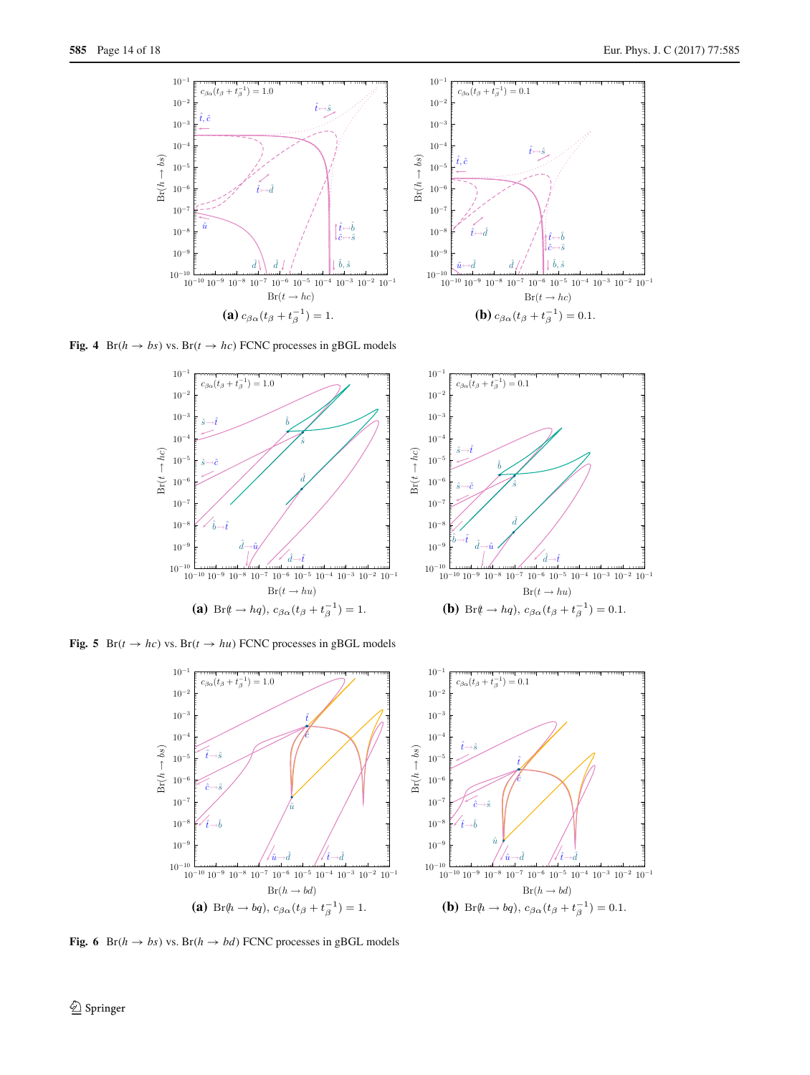



<span id="page-13-0"></span>

<span id="page-13-1"></span>**Fig. 5** Br( $t \rightarrow hc$ ) vs. Br( $t \rightarrow hu$ ) FCNC processes in gBGL models





<span id="page-13-2"></span>**Fig. 6** Br( $h \rightarrow bs$ ) vs. Br( $h \rightarrow bd$ ) FCNC processes in gBGL models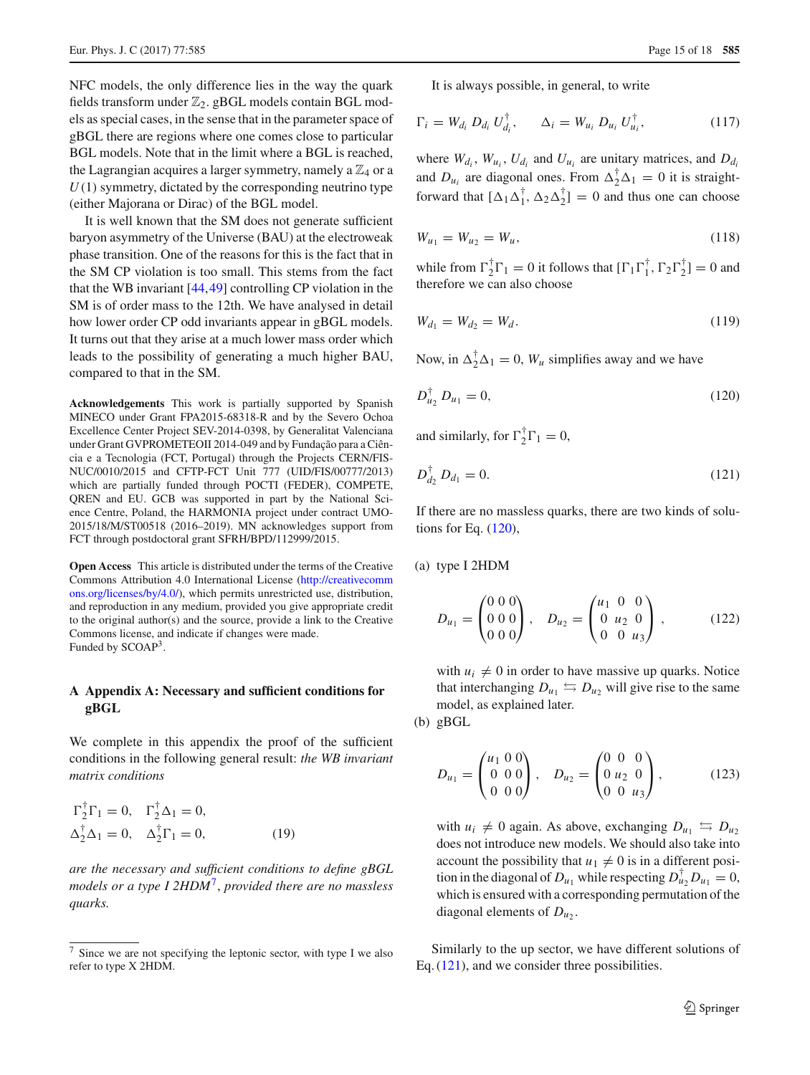NFC models, the only difference lies in the way the quark fields transform under  $\mathbb{Z}_2$ . gBGL models contain BGL models as special cases, in the sense that in the parameter space of gBGL there are regions where one comes close to particular BGL models. Note that in the limit where a BGL is reached, the Lagrangian acquires a larger symmetry, namely a  $\mathbb{Z}_4$  or a *U*(1) symmetry, dictated by the corresponding neutrino type (either Majorana or Dirac) of the BGL model.

It is well known that the SM does not generate sufficient baryon asymmetry of the Universe (BAU) at the electroweak phase transition. One of the reasons for this is the fact that in the SM CP violation is too small. This stems from the fact that the WB invariant [\[44,](#page-17-21)[49\]](#page-17-25) controlling CP violation in the SM is of order mass to the 12th. We have analysed in detail how lower order CP odd invariants appear in gBGL models. It turns out that they arise at a much lower mass order which leads to the possibility of generating a much higher BAU, compared to that in the SM.

**Acknowledgements** This work is partially supported by Spanish MINECO under Grant FPA2015-68318-R and by the Severo Ochoa Excellence Center Project SEV-2014-0398, by Generalitat Valenciana under Grant GVPROMETEOII 2014-049 and by Fundação para a Ciência e a Tecnologia (FCT, Portugal) through the Projects CERN/FIS-NUC/0010/2015 and CFTP-FCT Unit 777 (UID/FIS/00777/2013) which are partially funded through POCTI (FEDER), COMPETE, QREN and EU. GCB was supported in part by the National Science Centre, Poland, the HARMONIA project under contract UMO-2015/18/M/ST00518 (2016–2019). MN acknowledges support from FCT through postdoctoral grant SFRH/BPD/112999/2015.

**Open Access** This article is distributed under the terms of the Creative Commons Attribution 4.0 International License [\(http://creativecomm](http://creativecommons.org/licenses/by/4.0/) [ons.org/licenses/by/4.0/\)](http://creativecommons.org/licenses/by/4.0/), which permits unrestricted use, distribution, and reproduction in any medium, provided you give appropriate credit to the original author(s) and the source, provide a link to the Creative Commons license, and indicate if changes were made. Funded by SCOAP<sup>3</sup>.

# **A Appendix A: Necessary and sufficient conditions for gBGL**

We complete in this appendix the proof of the sufficient conditions in the following general result: *the WB invariant matrix conditions*

$$
\Gamma_2^{\dagger} \Gamma_1 = 0, \quad \Gamma_2^{\dagger} \Delta_1 = 0, \n\Delta_2^{\dagger} \Delta_1 = 0, \quad \Delta_2^{\dagger} \Gamma_1 = 0,
$$
\n(19)

*are the necessary and sufficient conditions to define gBGL models or a type I 2HDM*[7,](#page-14-0) *provided there are no massless quarks.*

<span id="page-14-5"></span>It is always possible, in general, to write

$$
\Gamma_i = W_{d_i} D_{d_i} U_{d_i}^{\dagger}, \qquad \Delta_i = W_{u_i} D_{u_i} U_{u_i}^{\dagger}, \qquad (117)
$$

where  $W_{d_i}$ ,  $W_{u_i}$ ,  $U_{d_i}$  and  $U_{u_i}$  are unitary matrices, and  $D_{d_i}$ and  $D_{u_i}$  are diagonal ones. From  $\Delta_2^{\dagger} \Delta_1 = 0$  it is straightforward that  $[\Delta_1 \Delta_1^{\dagger}, \Delta_2 \Delta_2^{\dagger}] = 0$  and thus one can choose

$$
W_{u_1} = W_{u_2} = W_u, \tag{118}
$$

while from  $\Gamma_2^{\dagger} \Gamma_1 = 0$  it follows that  $[\Gamma_1 \Gamma_1^{\dagger}, \Gamma_2 \Gamma_2^{\dagger}] = 0$  and therefore we can also choose

<span id="page-14-1"></span>
$$
W_{d_1} = W_{d_2} = W_d. \tag{119}
$$

Now, in  $\Delta_2^{\dagger} \Delta_1 = 0$ ,  $W_u$  simplifies away and we have

$$
D_{u_2}^{\dagger} D_{u_1} = 0, \tag{120}
$$

<span id="page-14-2"></span>and similarly, for  $\Gamma_2^{\dagger} \Gamma_1 = 0$ ,

$$
D_{d_2}^{\dagger} D_{d_1} = 0. \tag{121}
$$

If there are no massless quarks, there are two kinds of solutions for Eq. [\(120\)](#page-14-1),

(a) type I 2HDM

<span id="page-14-3"></span>
$$
D_{u_1} = \begin{pmatrix} 0 & 0 & 0 \\ 0 & 0 & 0 \\ 0 & 0 & 0 \end{pmatrix}, \quad D_{u_2} = \begin{pmatrix} u_1 & 0 & 0 \\ 0 & u_2 & 0 \\ 0 & 0 & u_3 \end{pmatrix}, \tag{122}
$$

with  $u_i \neq 0$  in order to have massive up quarks. Notice that interchanging  $D_{u_1} \leftrightarrows D_{u_2}$  will give rise to the same model, as explained later.

(b) gBGL

<span id="page-14-4"></span>
$$
D_{u_1} = \begin{pmatrix} u_1 & 0 & 0 \\ 0 & 0 & 0 \\ 0 & 0 & 0 \end{pmatrix}, \quad D_{u_2} = \begin{pmatrix} 0 & 0 & 0 \\ 0 & u_2 & 0 \\ 0 & 0 & u_3 \end{pmatrix}, \tag{123}
$$

with  $u_i \neq 0$  again. As above, exchanging  $D_{u_1} \leftrightarrows D_{u_2}$ does not introduce new models. We should also take into account the possibility that  $u_1 \neq 0$  is in a different position in the diagonal of  $D_{u_1}$  while respecting  $D_{u_2}^{\dagger} D_{u_1} = 0$ , which is ensured with a corresponding permutation of the diagonal elements of  $D_{u_2}$ .

Similarly to the up sector, we have different solutions of Eq. [\(121\)](#page-14-2), and we consider three possibilities.

<span id="page-14-0"></span>Since we are not specifying the leptonic sector, with type I we also refer to type X 2HDM.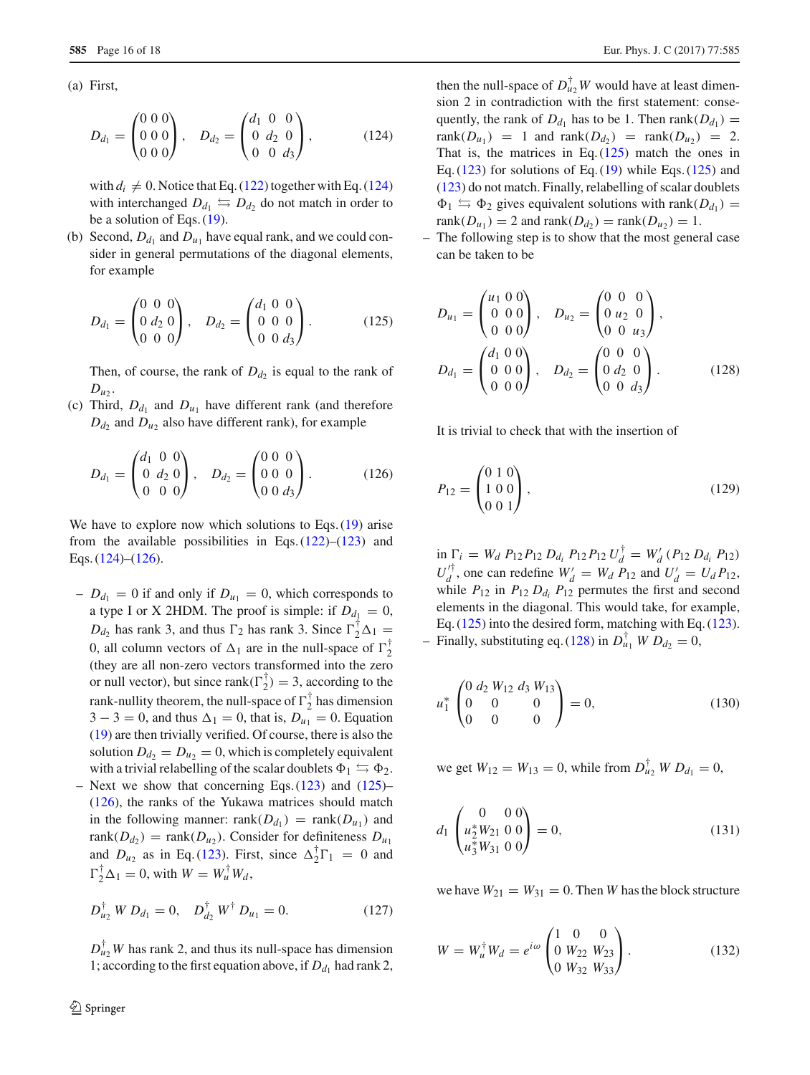(a) First,

<span id="page-15-0"></span>
$$
D_{d_1} = \begin{pmatrix} 0 & 0 & 0 \\ 0 & 0 & 0 \\ 0 & 0 & 0 \end{pmatrix}, \quad D_{d_2} = \begin{pmatrix} d_1 & 0 & 0 \\ 0 & d_2 & 0 \\ 0 & 0 & d_3 \end{pmatrix}, \tag{124}
$$

with  $d_i \neq 0$ . Notice that Eq. [\(122\)](#page-14-3) together with Eq. [\(124\)](#page-15-0) with interchanged  $D_{d_1} \leftrightarrows D_{d_2}$  do not match in order to be a solution of Eqs. [\(19\)](#page-3-5).

(b) Second,  $D_{d_1}$  and  $D_{u_1}$  have equal rank, and we could consider in general permutations of the diagonal elements, for example

<span id="page-15-2"></span>
$$
D_{d_1} = \begin{pmatrix} 0 & 0 & 0 \\ 0 & d_2 & 0 \\ 0 & 0 & 0 \end{pmatrix}, \quad D_{d_2} = \begin{pmatrix} d_1 & 0 & 0 \\ 0 & 0 & 0 \\ 0 & 0 & d_3 \end{pmatrix}.
$$
 (125)

Then, of course, the rank of  $D_d$  is equal to the rank of  $D_{u_2}$ .

(c) Third,  $D_{d_1}$  and  $D_{u_1}$  have different rank (and therefore  $D_{d_2}$  and  $D_{u_2}$  also have different rank), for example

$$
D_{d_1} = \begin{pmatrix} d_1 & 0 & 0 \\ 0 & d_2 & 0 \\ 0 & 0 & 0 \end{pmatrix}, \quad D_{d_2} = \begin{pmatrix} 0 & 0 & 0 \\ 0 & 0 & 0 \\ 0 & 0 & d_3 \end{pmatrix}.
$$
 (126)

We have to explore now which solutions to Eqs. [\(19\)](#page-3-5) arise from the available possibilities in Eqs.  $(122)$ – $(123)$  and Eqs. [\(124\)](#page-15-0)–[\(126\)](#page-15-1).

- $-D_{d_1} = 0$  if and only if  $D_{u_1} = 0$ , which corresponds to a type I or X 2HDM. The proof is simple: if  $D_{d_1} = 0$ ,  $D_{d_2}$  has rank 3, and thus  $\Gamma_2$  has rank 3. Since  $\Gamma_2^{\dagger} \Delta_1 =$ 0, all column vectors of  $\Delta_1$  are in the null-space of  $\Gamma_2^{\dagger}$ (they are all non-zero vectors transformed into the zero or null vector), but since rank $(\Gamma_2^{\dagger}) = 3$ , according to the rank-nullity theorem, the null-space of  $\Gamma_2^{\dagger}$  has dimension  $3 - 3 = 0$ , and thus  $\Delta_1 = 0$ , that is,  $D_{u_1} = 0$ . Equation [\(19\)](#page-3-5) are then trivially verified. Of course, there is also the solution  $D_{d_2} = D_{u_2} = 0$ , which is completely equivalent with a trivial relabelling of the scalar doublets  $\Phi_1 \leftrightarrows \Phi_2$ .
- Next we show that concerning Eqs.  $(123)$  and  $(125)$  [\(126\)](#page-15-1), the ranks of the Yukawa matrices should match in the following manner: rank( $D_{d_1}$ ) = rank( $D_{u_1}$ ) and rank $(D_{d_2})$  = rank $(D_{u_2})$ . Consider for definiteness  $D_{u_1}$ and  $D_{u_2}$  as in Eq. [\(123\)](#page-14-4). First, since  $\Delta_2^{\dagger} \Gamma_1 = 0$  and  $\Gamma_2^{\dagger} \Delta_1 = 0$ , with  $W = W_u^{\dagger} W_d$ ,

$$
D_{u_2}^{\dagger} W D_{d_1} = 0, \quad D_{d_2}^{\dagger} W^{\dagger} D_{u_1} = 0. \tag{127}
$$

 $D_{u_2}^{\dagger}W$  has rank 2, and thus its null-space has dimension 1; according to the first equation above, if  $D_{d_1}$  had rank 2,

then the null-space of  $D_{u_2}^{\dagger}W$  would have at least dimension 2 in contradiction with the first statement: consequently, the rank of  $D_{d_1}$  has to be 1. Then rank( $D_{d_1}$ ) =  $rank(D_{u_1}) = 1$  and  $rank(D_{d_2}) = rank(D_{u_2}) = 2$ . That is, the matrices in Eq.  $(125)$  match the ones in Eq.  $(123)$  for solutions of Eq.  $(19)$  while Eqs.  $(125)$  and [\(123\)](#page-14-4) do not match. Finally, relabelling of scalar doublets  $\Phi_1 \leftrightarrows \Phi_2$  gives equivalent solutions with rank( $D_{d_1}$ ) =  $rank(D_{u_1}) = 2$  and  $rank(D_{d_2}) = rank(D_{u_2}) = 1$ .

– The following step is to show that the most general case can be taken to be

<span id="page-15-3"></span>
$$
D_{u_1} = \begin{pmatrix} u_1 & 0 & 0 \\ 0 & 0 & 0 \\ 0 & 0 & 0 \end{pmatrix}, \quad D_{u_2} = \begin{pmatrix} 0 & 0 & 0 \\ 0 & u_2 & 0 \\ 0 & 0 & u_3 \end{pmatrix},
$$
  

$$
D_{d_1} = \begin{pmatrix} d_1 & 0 & 0 \\ 0 & 0 & 0 \\ 0 & 0 & 0 \end{pmatrix}, \quad D_{d_2} = \begin{pmatrix} 0 & 0 & 0 \\ 0 & d_2 & 0 \\ 0 & 0 & d_3 \end{pmatrix}.
$$
 (128)

<span id="page-15-1"></span>It is trivial to check that with the insertion of

$$
P_{12} = \begin{pmatrix} 0 & 1 & 0 \\ 1 & 0 & 0 \\ 0 & 0 & 1 \end{pmatrix},\tag{129}
$$

 $\sin \Gamma_i = W_d \ P_{12} P_{12} \ D_{d_i} \ P_{12} P_{12} \ U_d^{\dagger} = W'_d \ (P_{12} \ D_{d_i} \ P_{12})$  $U_d^{\prime \dagger}$ , one can redefine  $W_d' = W_d P_{12}$  and  $U_d' = U_d P_{12}$ , while  $P_{12}$  in  $P_{12} D_{d_i} P_{12}$  permutes the first and second elements in the diagonal. This would take, for example, Eq. [\(125\)](#page-15-2) into the desired form, matching with Eq. [\(123\)](#page-14-4). - Finally, substituting eq. [\(128\)](#page-15-3) in  $D_{u_1}^{\dagger}$  *W*  $D_{d_2} = 0$ ,

$$
u_1^* \begin{pmatrix} 0 & d_2 & W_{12} & d_3 & W_{13} \\ 0 & 0 & 0 & 0 \\ 0 & 0 & 0 & 0 \end{pmatrix} = 0, \tag{130}
$$

we get  $W_{12} = W_{13} = 0$ , while from  $D_{u_2}^{\dagger} W D_{d_1} = 0$ ,

$$
d_1 \begin{pmatrix} 0 & 0 & 0 \\ u_2^* W_{21} & 0 & 0 \\ u_3^* W_{31} & 0 & 0 \end{pmatrix} = 0, \tag{131}
$$

we have  $W_{21} = W_{31} = 0$ . Then *W* has the block structure

$$
W = W_u^{\dagger} W_d = e^{i\omega} \begin{pmatrix} 1 & 0 & 0 \\ 0 & W_{22} & W_{23} \\ 0 & W_{32} & W_{33} \end{pmatrix}.
$$
 (132)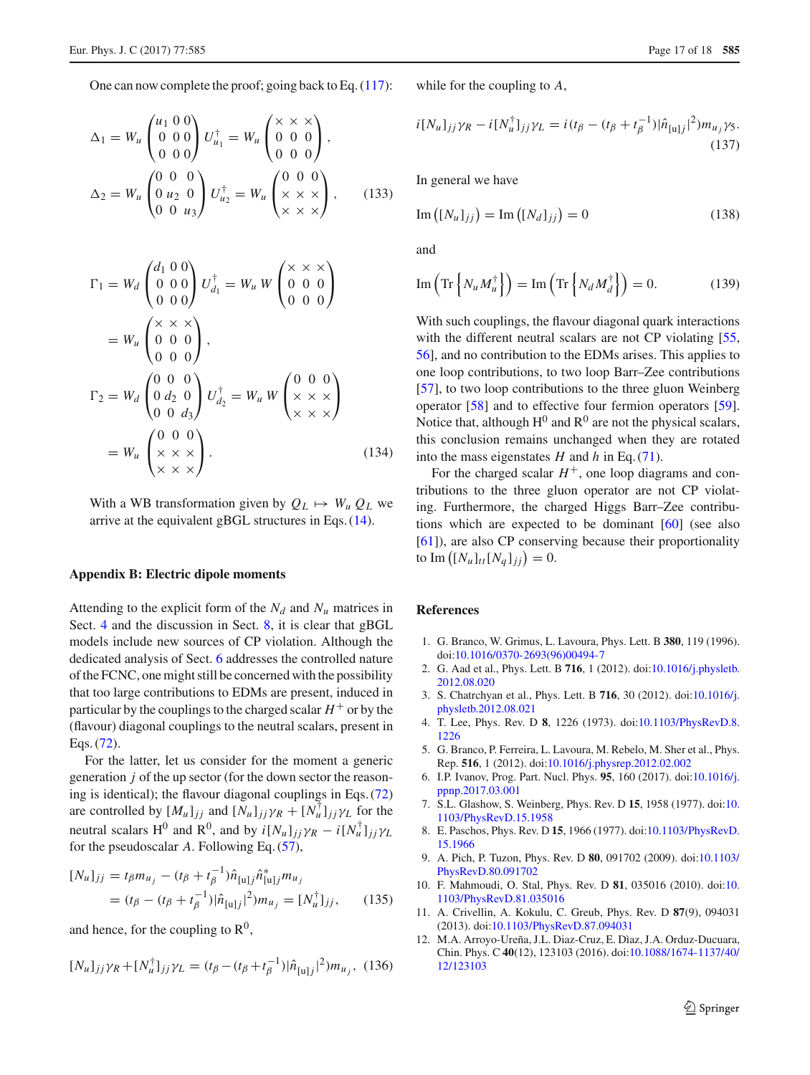One can now complete the proof; going back to Eq. [\(117\)](#page-14-5):

$$
\Delta_1 = W_u \begin{pmatrix} u_1 & 0 & 0 \\ 0 & 0 & 0 \\ 0 & 0 & 0 \end{pmatrix} U_{u_1}^{\dagger} = W_u \begin{pmatrix} \times & \times & \times \\ 0 & 0 & 0 \\ 0 & 0 & 0 \end{pmatrix},
$$
  

$$
\Delta_2 = W_u \begin{pmatrix} 0 & 0 & 0 \\ 0 & u_2 & 0 \\ 0 & 0 & u_3 \end{pmatrix} U_{u_2}^{\dagger} = W_u \begin{pmatrix} 0 & 0 & 0 \\ \times & \times & \times \\ \times & \times & \times \end{pmatrix}, \qquad (133)
$$

$$
\Gamma_1 = W_d \begin{pmatrix} d_1 & 0 & 0 \\ 0 & 0 & 0 \\ 0 & 0 & 0 \end{pmatrix} U_{d_1}^{\dagger} = W_u W \begin{pmatrix} \times & \times & \times \\ 0 & 0 & 0 \\ 0 & 0 & 0 \end{pmatrix}
$$
  
=  $W_u \begin{pmatrix} \times & \times & \times \\ 0 & 0 & 0 \\ 0 & 0 & 0 \end{pmatrix}$ ,  

$$
\Gamma_2 = W_d \begin{pmatrix} 0 & 0 & 0 \\ 0 & d_2 & 0 \\ 0 & 0 & d_3 \end{pmatrix} U_{d_2}^{\dagger} = W_u W \begin{pmatrix} 0 & 0 & 0 \\ \times & \times & \times \\ \times & \times & \times \end{pmatrix}
$$
  
=  $W_u \begin{pmatrix} 0 & 0 & 0 \\ \times & \times & \times \\ \times & \times & \times \end{pmatrix}$ . (134)

With a WB transformation given by  $Q_L \mapsto W_u Q_L$  we arrive at the equivalent gBGL structures in Eqs. [\(14\)](#page-3-2).

#### **Appendix B: Electric dipole moments**

Attending to the explicit form of the  $N_d$  and  $N_u$  matrices in Sect. [4](#page-3-0) and the discussion in Sect. [8,](#page-9-0) it is clear that gBGL models include new sources of CP violation. Although the dedicated analysis of Sect. [6](#page-7-0) addresses the controlled nature of the FCNC, one might still be concerned with the possibility that too large contributions to EDMs are present, induced in particular by the couplings to the charged scalar  $H^+$  or by the (flavour) diagonal couplings to the neutral scalars, present in Eqs. [\(72\)](#page-7-1).

For the latter, let us consider for the moment a generic generation *j* of the up sector (for the down sector the reasoning is identical); the flavour diagonal couplings in Eqs. [\(72\)](#page-7-1) are controlled by  $[M_u]_{jj}$  and  $[N_u]_{jj} \gamma_R + [N_u^{\dagger}]_{jj} \gamma_L$  for the neutral scalars H<sup>0</sup> and R<sup>0</sup>, and by  $i[N_u]_{jj} \gamma_R - i[N_u^{\dagger}]_{jj} \gamma_L$ for the pseudoscalar *A*. Following Eq. [\(57\)](#page-5-8),

$$
[N_u]_{jj} = t_{\beta} m_{u_j} - (t_{\beta} + t_{\beta}^{-1}) \hat{n}_{[u]j} \hat{n}_{[u]j}^* m_{u_j}
$$
  
=  $(t_{\beta} - (t_{\beta} + t_{\beta}^{-1}) |\hat{n}_{[u]j}|^2) m_{u_j} = [N_u^{\dagger}]_{jj}$ , (135)

and hence, for the coupling to  $\mathbb{R}^0$ ,

$$
[N_u]_{jj}\gamma_R + [N_u^{\dagger}]_{jj}\gamma_L = (t_\beta - (t_\beta + t_\beta^{-1})|\hat{n}_{[u]j}|^2)m_{u_j}, \tag{136}
$$

while for the coupling to *A*,

$$
i[N_u]_{jj}\gamma_R - i[N_u^{\dagger}]_{jj}\gamma_L = i(t_\beta - (t_\beta + t_\beta^{-1})|\hat{n}_{[u]j}|^2)m_{u_j}\gamma_5.
$$
\n(137)

In general we have

$$
\operatorname{Im}\left(\left[N_u\right]_{jj}\right) = \operatorname{Im}\left(\left[N_d\right]_{jj}\right) = 0\tag{138}
$$

and

$$
\operatorname{Im}\left(\operatorname{Tr}\left\{N_u M_u^{\dagger}\right\}\right) = \operatorname{Im}\left(\operatorname{Tr}\left\{N_d M_d^{\dagger}\right\}\right) = 0. \tag{139}
$$

With such couplings, the flavour diagonal quark interactions with the different neutral scalars are not CP violating [\[55,](#page-17-30) [56](#page-17-31)], and no contribution to the EDMs arises. This applies to one loop contributions, to two loop Barr–Zee contributions [\[57](#page-17-32)], to two loop contributions to the three gluon Weinberg operator [\[58](#page-17-33)] and to effective four fermion operators [\[59](#page-17-34)]. Notice that, although  $H^0$  and  $R^0$  are not the physical scalars, this conclusion remains unchanged when they are rotated into the mass eigenstates *H* and *h* in Eq. [\(71\)](#page-6-1).

For the charged scalar  $H^+$ , one loop diagrams and contributions to the three gluon operator are not CP violating. Furthermore, the charged Higgs Barr–Zee contributions which are expected to be dominant [\[60](#page-17-35)] (see also [\[61](#page-17-36)]), are also CP conserving because their proportionality to  $\text{Im}\left( [N_u]_{tt} [N_q]_{jj} \right) = 0.$ 

## **References**

- <span id="page-16-0"></span>1. G. Branco, W. Grimus, L. Lavoura, Phys. Lett. B **380**, 119 (1996). doi[:10.1016/0370-2693\(96\)00494-7](http://dx.doi.org/10.1016/0370-2693(96)00494-7)
- <span id="page-16-1"></span>2. G. Aad et al., Phys. Lett. B **716**, 1 (2012). doi[:10.1016/j.physletb.](http://dx.doi.org/10.1016/j.physletb.2012.08.020) [2012.08.020](http://dx.doi.org/10.1016/j.physletb.2012.08.020)
- <span id="page-16-2"></span>3. S. Chatrchyan et al., Phys. Lett. B **716**, 30 (2012). doi[:10.1016/j.](http://dx.doi.org/10.1016/j.physletb.2012.08.021) [physletb.2012.08.021](http://dx.doi.org/10.1016/j.physletb.2012.08.021)
- <span id="page-16-3"></span>4. T. Lee, Phys. Rev. D **8**, 1226 (1973). doi[:10.1103/PhysRevD.8.](http://dx.doi.org/10.1103/PhysRevD.8.1226) [1226](http://dx.doi.org/10.1103/PhysRevD.8.1226)
- <span id="page-16-4"></span>5. G. Branco, P. Ferreira, L. Lavoura, M. Rebelo, M. Sher et al., Phys. Rep. **516**, 1 (2012). doi[:10.1016/j.physrep.2012.02.002](http://dx.doi.org/10.1016/j.physrep.2012.02.002)
- <span id="page-16-5"></span>6. I.P. Ivanov, Prog. Part. Nucl. Phys. **95**, 160 (2017). doi[:10.1016/j.](http://dx.doi.org/10.1016/j.ppnp.2017.03.001) [ppnp.2017.03.001](http://dx.doi.org/10.1016/j.ppnp.2017.03.001)
- <span id="page-16-6"></span>7. S.L. Glashow, S. Weinberg, Phys. Rev. D **15**, 1958 (1977). doi[:10.](http://dx.doi.org/10.1103/PhysRevD.15.1958) [1103/PhysRevD.15.1958](http://dx.doi.org/10.1103/PhysRevD.15.1958)
- <span id="page-16-7"></span>8. E. Paschos, Phys. Rev. D **15**, 1966 (1977). doi[:10.1103/PhysRevD.](http://dx.doi.org/10.1103/PhysRevD.15.1966) [15.1966](http://dx.doi.org/10.1103/PhysRevD.15.1966)
- <span id="page-16-8"></span>9. A. Pich, P. Tuzon, Phys. Rev. D **80**, 091702 (2009). doi[:10.1103/](http://dx.doi.org/10.1103/PhysRevD.80.091702) [PhysRevD.80.091702](http://dx.doi.org/10.1103/PhysRevD.80.091702)
- <span id="page-16-9"></span>10. F. Mahmoudi, O. Stal, Phys. Rev. D **81**, 035016 (2010). doi[:10.](http://dx.doi.org/10.1103/PhysRevD.81.035016) [1103/PhysRevD.81.035016](http://dx.doi.org/10.1103/PhysRevD.81.035016)
- 11. A. Crivellin, A. Kokulu, C. Greub, Phys. Rev. D **87**(9), 094031 (2013). doi[:10.1103/PhysRevD.87.094031](http://dx.doi.org/10.1103/PhysRevD.87.094031)
- 12. M.A. Arroyo-Ureña, J.L. Diaz-Cruz, E. Dìaz, J.A. Orduz-Ducuara, Chin. Phys. C **40**(12), 123103 (2016). doi[:10.1088/1674-1137/40/](http://dx.doi.org/10.1088/1674-1137/40/12/123103) [12/123103](http://dx.doi.org/10.1088/1674-1137/40/12/123103)